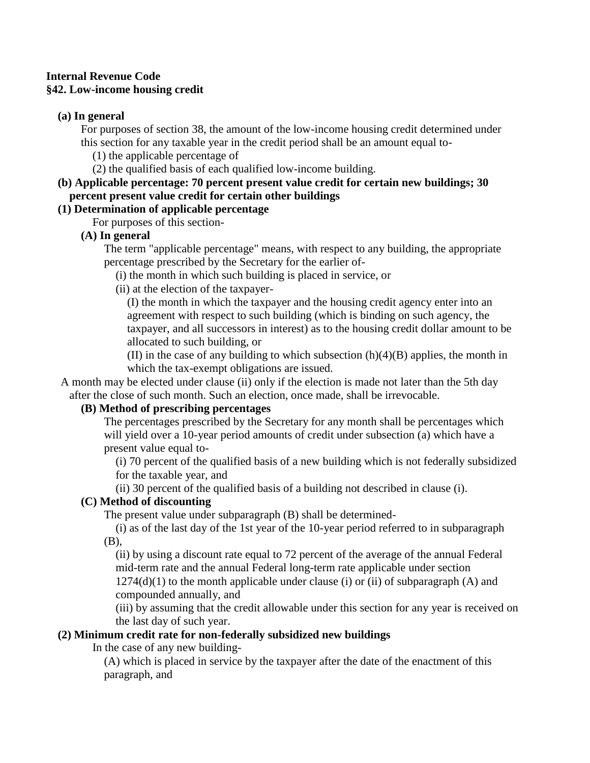#### **Internal Revenue Code §42. Low-income housing credit**

#### **(a) In general**

For purposes of section 38, the amount of the low-income housing credit determined under this section for any taxable year in the credit period shall be an amount equal to-

(1) the applicable percentage of

(2) the qualified basis of each qualified low-income building.

## **(b) Applicable percentage: 70 percent present value credit for certain new buildings; 30 percent present value credit for certain other buildings**

## **(1) Determination of applicable percentage**

For purposes of this section-

**(A) In general**

The term "applicable percentage" means, with respect to any building, the appropriate percentage prescribed by the Secretary for the earlier of-

(i) the month in which such building is placed in service, or

(ii) at the election of the taxpayer-

(I) the month in which the taxpayer and the housing credit agency enter into an agreement with respect to such building (which is binding on such agency, the taxpayer, and all successors in interest) as to the housing credit dollar amount to be allocated to such building, or

(II) in the case of any building to which subsection  $(h)(4)(B)$  applies, the month in which the tax-exempt obligations are issued.

A month may be elected under clause (ii) only if the election is made not later than the 5th day after the close of such month. Such an election, once made, shall be irrevocable.

## **(B) Method of prescribing percentages**

The percentages prescribed by the Secretary for any month shall be percentages which will yield over a 10-year period amounts of credit under subsection (a) which have a present value equal to-

(i) 70 percent of the qualified basis of a new building which is not federally subsidized for the taxable year, and

(ii) 30 percent of the qualified basis of a building not described in clause (i).

## **(C) Method of discounting**

The present value under subparagraph (B) shall be determined-

(i) as of the last day of the 1st year of the 10-year period referred to in subparagraph (B),

(ii) by using a discount rate equal to 72 percent of the average of the annual Federal mid-term rate and the annual Federal long-term rate applicable under section  $1274(d)(1)$  to the month applicable under clause (i) or (ii) of subparagraph (A) and compounded annually, and

(iii) by assuming that the credit allowable under this section for any year is received on the last day of such year.

## **(2) Minimum credit rate for non-federally subsidized new buildings**

In the case of any new building-

(A) which is placed in service by the taxpayer after the date of the enactment of this paragraph, and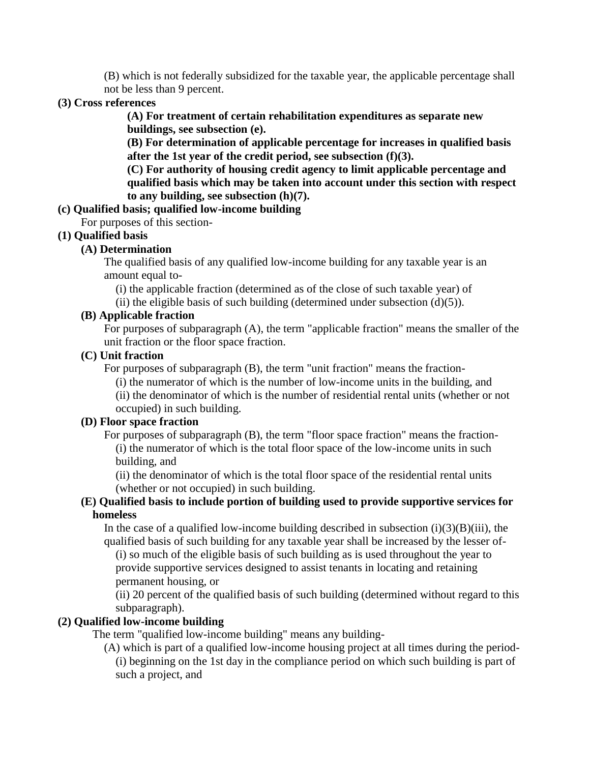(B) which is not federally subsidized for the taxable year, the applicable percentage shall not be less than 9 percent.

**(3) Cross references**

**(A) For treatment of certain rehabilitation expenditures as separate new buildings, see subsection (e).**

**(B) For determination of applicable percentage for increases in qualified basis after the 1st year of the credit period, see subsection (f)(3).**

**(C) For authority of housing credit agency to limit applicable percentage and qualified basis which may be taken into account under this section with respect to any building, see subsection (h)(7).**

#### **(c) Qualified basis; qualified low-income building**

For purposes of this section-

# **(1) Qualified basis**

## **(A) Determination**

The qualified basis of any qualified low-income building for any taxable year is an amount equal to-

(i) the applicable fraction (determined as of the close of such taxable year) of

(ii) the eligible basis of such building (determined under subsection  $(d)(5)$ ).

# **(B) Applicable fraction**

For purposes of subparagraph (A), the term "applicable fraction" means the smaller of the unit fraction or the floor space fraction.

### **(C) Unit fraction**

For purposes of subparagraph (B), the term "unit fraction" means the fraction-

(i) the numerator of which is the number of low-income units in the building, and (ii) the denominator of which is the number of residential rental units (whether or not occupied) in such building.

## **(D) Floor space fraction**

For purposes of subparagraph (B), the term "floor space fraction" means the fraction- (i) the numerator of which is the total floor space of the low-income units in such building, and

(ii) the denominator of which is the total floor space of the residential rental units (whether or not occupied) in such building.

## **(E) Qualified basis to include portion of building used to provide supportive services for homeless**

In the case of a qualified low-income building described in subsection  $(i)(3)(B)(iii)$ , the qualified basis of such building for any taxable year shall be increased by the lesser of-

(i) so much of the eligible basis of such building as is used throughout the year to provide supportive services designed to assist tenants in locating and retaining permanent housing, or

(ii) 20 percent of the qualified basis of such building (determined without regard to this subparagraph).

# **(2) Qualified low-income building**

The term "qualified low-income building" means any building-

(A) which is part of a qualified low-income housing project at all times during the period- (i) beginning on the 1st day in the compliance period on which such building is part of such a project, and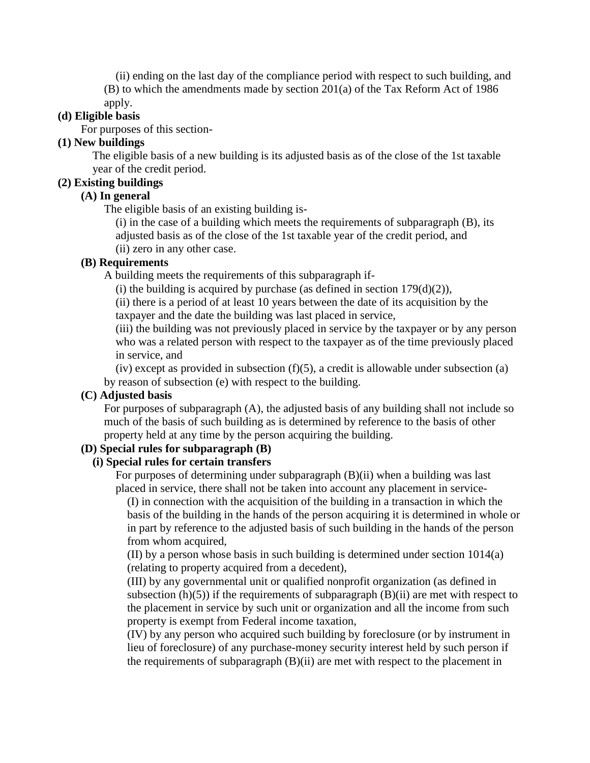(ii) ending on the last day of the compliance period with respect to such building, and (B) to which the amendments made by section 201(a) of the Tax Reform Act of 1986 apply.

#### **(d) Eligible basis**

For purposes of this section-

### **(1) New buildings**

The eligible basis of a new building is its adjusted basis as of the close of the 1st taxable year of the credit period.

# **(2) Existing buildings**

# **(A) In general**

The eligible basis of an existing building is-

(i) in the case of a building which meets the requirements of subparagraph (B), its adjusted basis as of the close of the 1st taxable year of the credit period, and

(ii) zero in any other case.

## **(B) Requirements**

A building meets the requirements of this subparagraph if-

(i) the building is acquired by purchase (as defined in section  $179(d)(2)$ ),

(ii) there is a period of at least 10 years between the date of its acquisition by the taxpayer and the date the building was last placed in service,

(iii) the building was not previously placed in service by the taxpayer or by any person who was a related person with respect to the taxpayer as of the time previously placed in service, and

 $(iv)$  except as provided in subsection  $(f)(5)$ , a credit is allowable under subsection (a) by reason of subsection (e) with respect to the building.

#### **(C) Adjusted basis**

For purposes of subparagraph (A), the adjusted basis of any building shall not include so much of the basis of such building as is determined by reference to the basis of other property held at any time by the person acquiring the building.

## **(D) Special rules for subparagraph (B)**

#### **(i) Special rules for certain transfers**

For purposes of determining under subparagraph (B)(ii) when a building was last placed in service, there shall not be taken into account any placement in service-

(I) in connection with the acquisition of the building in a transaction in which the basis of the building in the hands of the person acquiring it is determined in whole or in part by reference to the adjusted basis of such building in the hands of the person from whom acquired,

(II) by a person whose basis in such building is determined under section 1014(a) (relating to property acquired from a decedent),

(III) by any governmental unit or qualified nonprofit organization (as defined in subsection  $(h)(5)$ ) if the requirements of subparagraph  $(B)(ii)$  are met with respect to the placement in service by such unit or organization and all the income from such property is exempt from Federal income taxation,

(IV) by any person who acquired such building by foreclosure (or by instrument in lieu of foreclosure) of any purchase-money security interest held by such person if the requirements of subparagraph (B)(ii) are met with respect to the placement in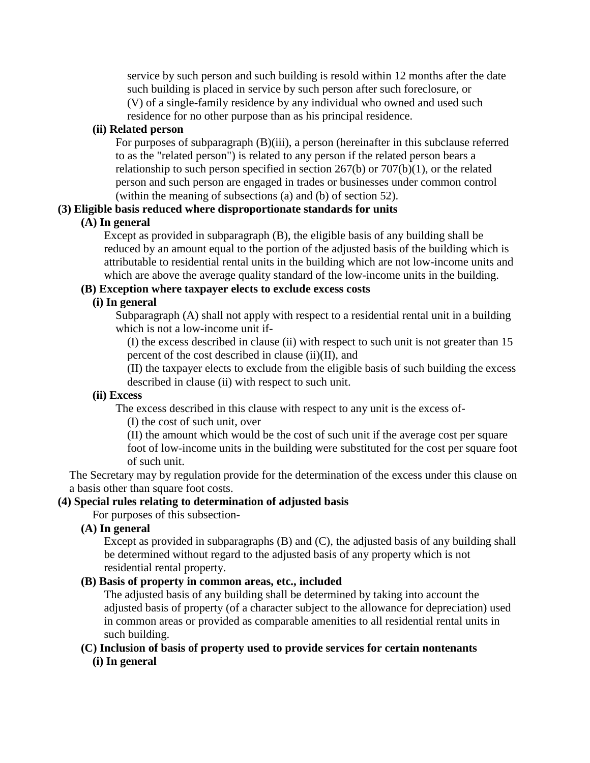service by such person and such building is resold within 12 months after the date such building is placed in service by such person after such foreclosure, or (V) of a single-family residence by any individual who owned and used such residence for no other purpose than as his principal residence.

#### **(ii) Related person**

For purposes of subparagraph (B)(iii), a person (hereinafter in this subclause referred to as the "related person") is related to any person if the related person bears a relationship to such person specified in section 267(b) or 707(b)(1), or the related person and such person are engaged in trades or businesses under common control (within the meaning of subsections (a) and (b) of section 52).

## **(3) Eligible basis reduced where disproportionate standards for units**

#### **(A) In general**

Except as provided in subparagraph (B), the eligible basis of any building shall be reduced by an amount equal to the portion of the adjusted basis of the building which is attributable to residential rental units in the building which are not low-income units and which are above the average quality standard of the low-income units in the building.

#### **(B) Exception where taxpayer elects to exclude excess costs**

#### **(i) In general**

Subparagraph (A) shall not apply with respect to a residential rental unit in a building which is not a low-income unit if-

(I) the excess described in clause (ii) with respect to such unit is not greater than 15 percent of the cost described in clause (ii)(II), and

(II) the taxpayer elects to exclude from the eligible basis of such building the excess described in clause (ii) with respect to such unit.

#### **(ii) Excess**

The excess described in this clause with respect to any unit is the excess of-

(I) the cost of such unit, over

(II) the amount which would be the cost of such unit if the average cost per square foot of low-income units in the building were substituted for the cost per square foot of such unit.

The Secretary may by regulation provide for the determination of the excess under this clause on a basis other than square foot costs.

#### **(4) Special rules relating to determination of adjusted basis**

For purposes of this subsection-

**(A) In general**

Except as provided in subparagraphs (B) and (C), the adjusted basis of any building shall be determined without regard to the adjusted basis of any property which is not residential rental property.

#### **(B) Basis of property in common areas, etc., included**

The adjusted basis of any building shall be determined by taking into account the adjusted basis of property (of a character subject to the allowance for depreciation) used in common areas or provided as comparable amenities to all residential rental units in such building.

# **(C) Inclusion of basis of property used to provide services for certain nontenants**

**(i) In general**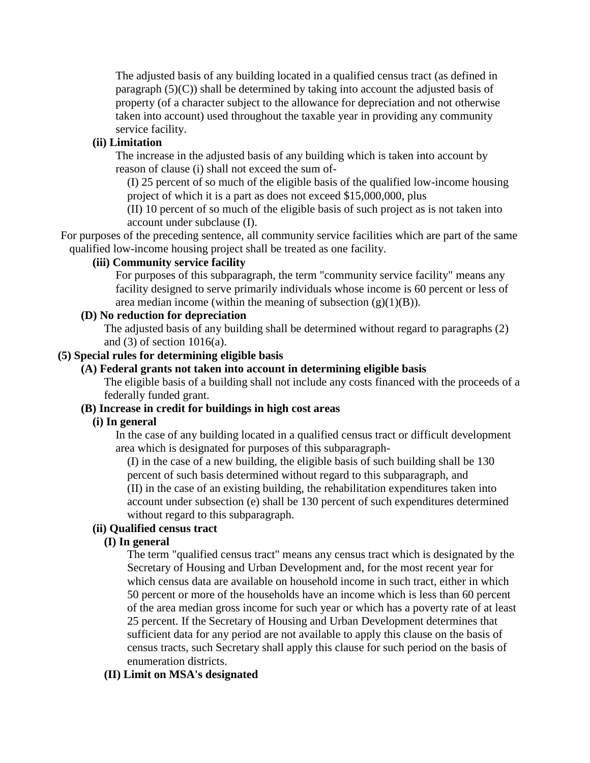The adjusted basis of any building located in a qualified census tract (as defined in paragraph  $(5)(C)$ ) shall be determined by taking into account the adjusted basis of property (of a character subject to the allowance for depreciation and not otherwise taken into account) used throughout the taxable year in providing any community service facility.

#### **(ii) Limitation**

The increase in the adjusted basis of any building which is taken into account by reason of clause (i) shall not exceed the sum of-

(I) 25 percent of so much of the eligible basis of the qualified low-income housing project of which it is a part as does not exceed \$15,000,000, plus

(II) 10 percent of so much of the eligible basis of such project as is not taken into account under subclause (I).

For purposes of the preceding sentence, all community service facilities which are part of the same qualified low-income housing project shall be treated as one facility.

#### **(iii) Community service facility**

For purposes of this subparagraph, the term "community service facility" means any facility designed to serve primarily individuals whose income is 60 percent or less of area median income (within the meaning of subsection  $(g)(1)(B)$ ).

## **(D) No reduction for depreciation**

The adjusted basis of any building shall be determined without regard to paragraphs (2) and (3) of section 1016(a).

### **(5) Special rules for determining eligible basis**

#### **(A) Federal grants not taken into account in determining eligible basis**

The eligible basis of a building shall not include any costs financed with the proceeds of a federally funded grant.

## **(B) Increase in credit for buildings in high cost areas**

#### **(i) In general**

In the case of any building located in a qualified census tract or difficult development area which is designated for purposes of this subparagraph-

(I) in the case of a new building, the eligible basis of such building shall be 130 percent of such basis determined without regard to this subparagraph, and (II) in the case of an existing building, the rehabilitation expenditures taken into account under subsection (e) shall be 130 percent of such expenditures determined without regard to this subparagraph.

#### **(ii) Qualified census tract**

## **(I) In general**

The term "qualified census tract" means any census tract which is designated by the Secretary of Housing and Urban Development and, for the most recent year for which census data are available on household income in such tract, either in which 50 percent or more of the households have an income which is less than 60 percent of the area median gross income for such year or which has a poverty rate of at least 25 percent. If the Secretary of Housing and Urban Development determines that sufficient data for any period are not available to apply this clause on the basis of census tracts, such Secretary shall apply this clause for such period on the basis of enumeration districts.

#### **(II) Limit on MSA's designated**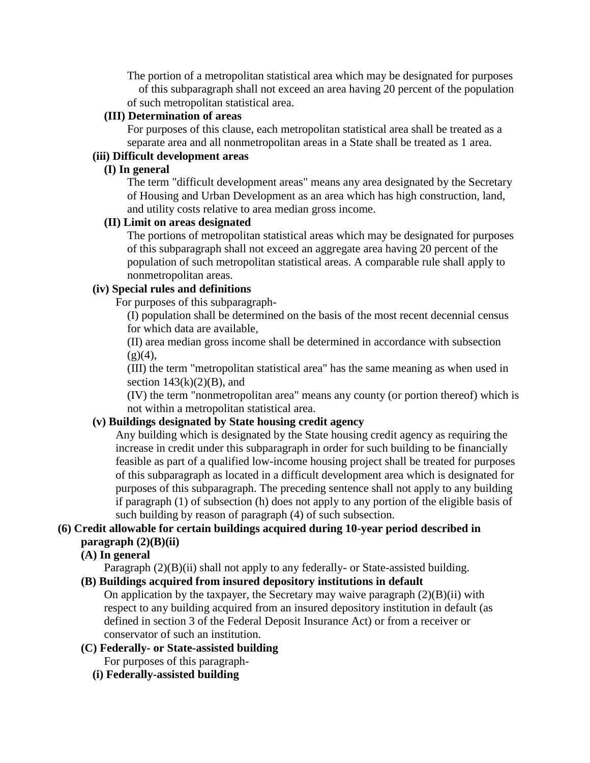The portion of a metropolitan statistical area which may be designated for purposes of this subparagraph shall not exceed an area having 20 percent of the population of such metropolitan statistical area.

#### **(III) Determination of areas**

For purposes of this clause, each metropolitan statistical area shall be treated as a separate area and all nonmetropolitan areas in a State shall be treated as 1 area.

# **(iii) Difficult development areas**

## **(I) In general**

The term "difficult development areas" means any area designated by the Secretary of Housing and Urban Development as an area which has high construction, land, and utility costs relative to area median gross income.

#### **(II) Limit on areas designated**

The portions of metropolitan statistical areas which may be designated for purposes of this subparagraph shall not exceed an aggregate area having 20 percent of the population of such metropolitan statistical areas. A comparable rule shall apply to nonmetropolitan areas.

#### **(iv) Special rules and definitions**

For purposes of this subparagraph-

(I) population shall be determined on the basis of the most recent decennial census for which data are available,

(II) area median gross income shall be determined in accordance with subsection  $(g)(4),$ 

(III) the term "metropolitan statistical area" has the same meaning as when used in section  $143(k)(2)(B)$ , and

(IV) the term "nonmetropolitan area" means any county (or portion thereof) which is not within a metropolitan statistical area.

## **(v) Buildings designated by State housing credit agency**

Any building which is designated by the State housing credit agency as requiring the increase in credit under this subparagraph in order for such building to be financially feasible as part of a qualified low-income housing project shall be treated for purposes of this subparagraph as located in a difficult development area which is designated for purposes of this subparagraph. The preceding sentence shall not apply to any building if paragraph (1) of subsection (h) does not apply to any portion of the eligible basis of such building by reason of paragraph (4) of such subsection.

## **(6) Credit allowable for certain buildings acquired during 10-year period described in paragraph (2)(B)(ii)**

# **(A) In general**

Paragraph (2)(B)(ii) shall not apply to any federally- or State-assisted building.

## **(B) Buildings acquired from insured depository institutions in default**

On application by the taxpayer, the Secretary may waive paragraph  $(2)(B)(ii)$  with respect to any building acquired from an insured depository institution in default (as defined in section 3 of the Federal Deposit Insurance Act) or from a receiver or conservator of such an institution.

# **(C) Federally- or State-assisted building**

For purposes of this paragraph-

**(i) Federally-assisted building**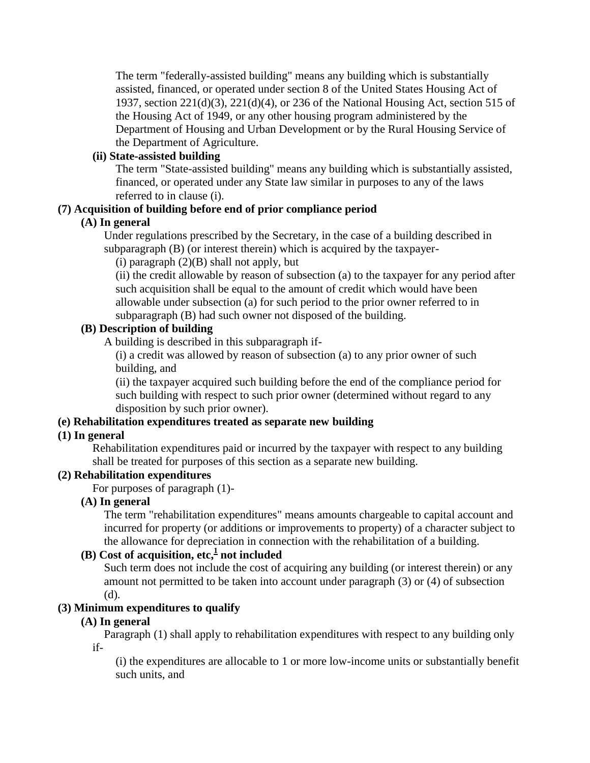The term "federally-assisted building" means any building which is substantially assisted, financed, or operated under section 8 of the United States Housing Act of 1937, section 221(d)(3), 221(d)(4), or 236 of the National Housing Act, section 515 of the Housing Act of 1949, or any other housing program administered by the Department of Housing and Urban Development or by the Rural Housing Service of the Department of Agriculture.

## **(ii) State-assisted building**

The term "State-assisted building" means any building which is substantially assisted, financed, or operated under any State law similar in purposes to any of the laws referred to in clause (i).

# **(7) Acquisition of building before end of prior compliance period**

# **(A) In general**

Under regulations prescribed by the Secretary, in the case of a building described in subparagraph (B) (or interest therein) which is acquired by the taxpayer-

 $(i)$  paragraph  $(2)(B)$  shall not apply, but

(ii) the credit allowable by reason of subsection (a) to the taxpayer for any period after such acquisition shall be equal to the amount of credit which would have been allowable under subsection (a) for such period to the prior owner referred to in subparagraph (B) had such owner not disposed of the building.

## **(B) Description of building**

A building is described in this subparagraph if-

(i) a credit was allowed by reason of subsection (a) to any prior owner of such building, and

(ii) the taxpayer acquired such building before the end of the compliance period for such building with respect to such prior owner (determined without regard to any disposition by such prior owner).

# **(e) Rehabilitation expenditures treated as separate new building**

# **(1) In general**

Rehabilitation expenditures paid or incurred by the taxpayer with respect to any building shall be treated for purposes of this section as a separate new building.

## **(2) Rehabilitation expenditures**

For purposes of paragraph (1)-

# **(A) In general**

The term "rehabilitation expenditures" means amounts chargeable to capital account and incurred for property (or additions or improvements to property) of a character subject to the allowance for depreciation in connection with the rehabilitation of a building.

# **(B) Cost of acquisition, etc,[1](http://uscode.house.gov/view.xhtml?req=(title:26%20section:42%20edition:prelim)%20OR%20(granuleid:USC-prelim-title26-section42)&f=treesort&edition=prelim&num=0&jumpTo=true#42_1_target) not included**

Such term does not include the cost of acquiring any building (or interest therein) or any amount not permitted to be taken into account under paragraph (3) or (4) of subsection (d).

# **(3) Minimum expenditures to qualify**

# **(A) In general**

Paragraph (1) shall apply to rehabilitation expenditures with respect to any building only

if-

(i) the expenditures are allocable to 1 or more low-income units or substantially benefit such units, and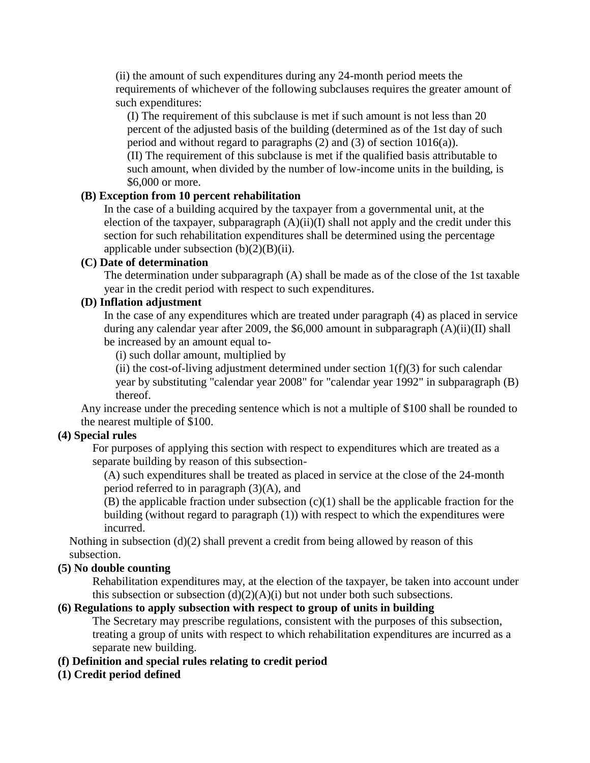(ii) the amount of such expenditures during any 24-month period meets the requirements of whichever of the following subclauses requires the greater amount of such expenditures:

(I) The requirement of this subclause is met if such amount is not less than 20 percent of the adjusted basis of the building (determined as of the 1st day of such period and without regard to paragraphs (2) and (3) of section 1016(a)). (II) The requirement of this subclause is met if the qualified basis attributable to such amount, when divided by the number of low-income units in the building, is \$6,000 or more.

### **(B) Exception from 10 percent rehabilitation**

In the case of a building acquired by the taxpayer from a governmental unit, at the election of the taxpayer, subparagraph (A)(ii)(I) shall not apply and the credit under this section for such rehabilitation expenditures shall be determined using the percentage applicable under subsection  $(b)(2)(B)(ii)$ .

#### **(C) Date of determination**

The determination under subparagraph (A) shall be made as of the close of the 1st taxable year in the credit period with respect to such expenditures.

#### **(D) Inflation adjustment**

In the case of any expenditures which are treated under paragraph (4) as placed in service during any calendar year after 2009, the  $$6,000$  amount in subparagraph  $(A)(ii)(II)$  shall be increased by an amount equal to-

(i) such dollar amount, multiplied by

(ii) the cost-of-living adjustment determined under section  $1(f)(3)$  for such calendar year by substituting "calendar year 2008" for "calendar year 1992" in subparagraph (B) thereof.

Any increase under the preceding sentence which is not a multiple of \$100 shall be rounded to the nearest multiple of \$100.

# **(4) Special rules**

For purposes of applying this section with respect to expenditures which are treated as a separate building by reason of this subsection-

(A) such expenditures shall be treated as placed in service at the close of the 24-month period referred to in paragraph (3)(A), and

 $(B)$  the applicable fraction under subsection  $(c)(1)$  shall be the applicable fraction for the building (without regard to paragraph (1)) with respect to which the expenditures were incurred.

Nothing in subsection  $(d)(2)$  shall prevent a credit from being allowed by reason of this subsection.

#### **(5) No double counting**

Rehabilitation expenditures may, at the election of the taxpayer, be taken into account under this subsection or subsection  $(d)(2)(A)(i)$  but not under both such subsections.

#### **(6) Regulations to apply subsection with respect to group of units in building**

The Secretary may prescribe regulations, consistent with the purposes of this subsection, treating a group of units with respect to which rehabilitation expenditures are incurred as a separate new building.

#### **(f) Definition and special rules relating to credit period**

**(1) Credit period defined**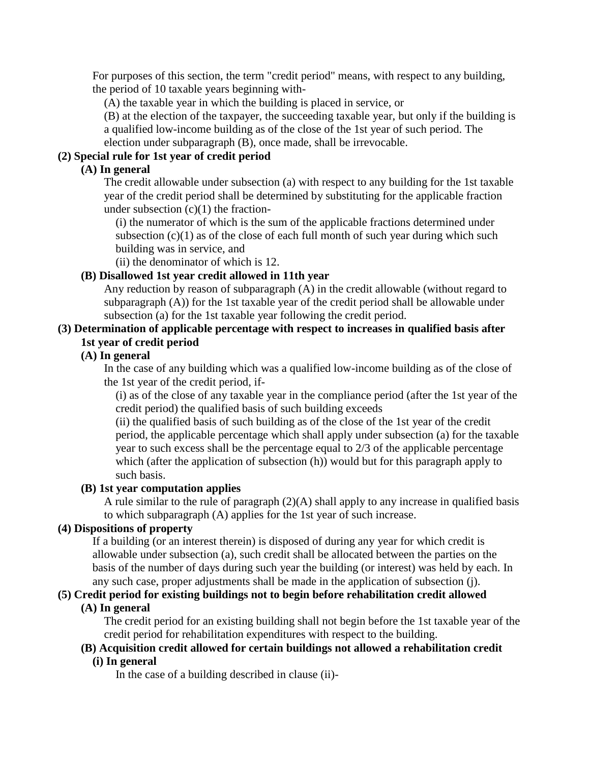For purposes of this section, the term "credit period" means, with respect to any building, the period of 10 taxable years beginning with-

(A) the taxable year in which the building is placed in service, or

(B) at the election of the taxpayer, the succeeding taxable year, but only if the building is a qualified low-income building as of the close of the 1st year of such period. The election under subparagraph (B), once made, shall be irrevocable.

# **(2) Special rule for 1st year of credit period**

# **(A) In general**

The credit allowable under subsection (a) with respect to any building for the 1st taxable year of the credit period shall be determined by substituting for the applicable fraction under subsection  $(c)(1)$  the fraction-

(i) the numerator of which is the sum of the applicable fractions determined under subsection  $(c)(1)$  as of the close of each full month of such year during which such building was in service, and

(ii) the denominator of which is 12.

## **(B) Disallowed 1st year credit allowed in 11th year**

Any reduction by reason of subparagraph (A) in the credit allowable (without regard to subparagraph (A)) for the 1st taxable year of the credit period shall be allowable under subsection (a) for the 1st taxable year following the credit period.

## **(3) Determination of applicable percentage with respect to increases in qualified basis after 1st year of credit period**

## **(A) In general**

In the case of any building which was a qualified low-income building as of the close of the 1st year of the credit period, if-

(i) as of the close of any taxable year in the compliance period (after the 1st year of the credit period) the qualified basis of such building exceeds

(ii) the qualified basis of such building as of the close of the 1st year of the credit period, the applicable percentage which shall apply under subsection (a) for the taxable year to such excess shall be the percentage equal to 2/3 of the applicable percentage which (after the application of subsection (h)) would but for this paragraph apply to such basis.

#### **(B) 1st year computation applies**

A rule similar to the rule of paragraph  $(2)(A)$  shall apply to any increase in qualified basis to which subparagraph (A) applies for the 1st year of such increase.

#### **(4) Dispositions of property**

If a building (or an interest therein) is disposed of during any year for which credit is allowable under subsection (a), such credit shall be allocated between the parties on the basis of the number of days during such year the building (or interest) was held by each. In any such case, proper adjustments shall be made in the application of subsection (j).

# **(5) Credit period for existing buildings not to begin before rehabilitation credit allowed**

## **(A) In general**

The credit period for an existing building shall not begin before the 1st taxable year of the credit period for rehabilitation expenditures with respect to the building.

#### **(B) Acquisition credit allowed for certain buildings not allowed a rehabilitation credit (i) In general**

In the case of a building described in clause (ii)-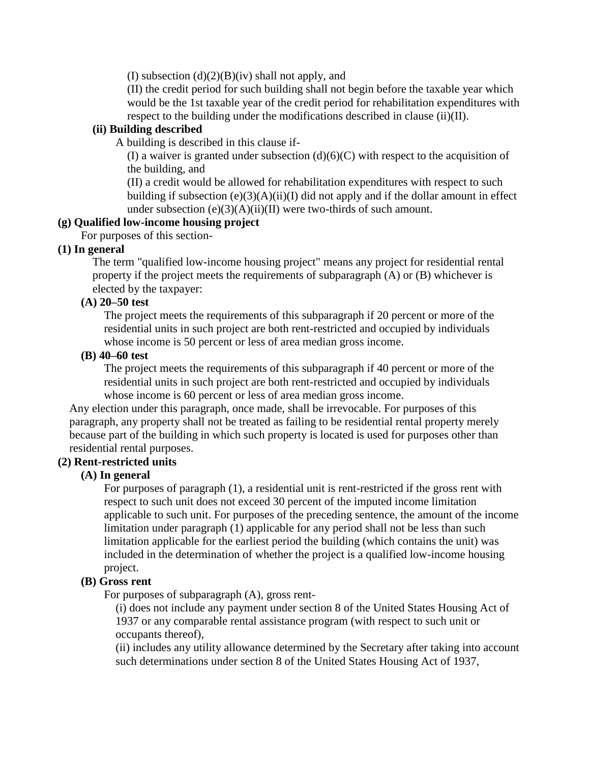(I) subsection  $(d)(2)(B)(iv)$  shall not apply, and

(II) the credit period for such building shall not begin before the taxable year which would be the 1st taxable year of the credit period for rehabilitation expenditures with respect to the building under the modifications described in clause (ii)(II).

## **(ii) Building described**

A building is described in this clause if-

(I) a waiver is granted under subsection  $(d)(6)(C)$  with respect to the acquisition of the building, and

(II) a credit would be allowed for rehabilitation expenditures with respect to such building if subsection (e)(3)(A)(ii)(I) did not apply and if the dollar amount in effect under subsection  $(e)(3)(A)(ii)(II)$  were two-thirds of such amount.

## **(g) Qualified low-income housing project**

For purposes of this section-

## **(1) In general**

The term "qualified low-income housing project" means any project for residential rental property if the project meets the requirements of subparagraph (A) or (B) whichever is elected by the taxpayer:

### **(A) 20–50 test**

The project meets the requirements of this subparagraph if 20 percent or more of the residential units in such project are both rent-restricted and occupied by individuals whose income is 50 percent or less of area median gross income.

#### **(B) 40–60 test**

The project meets the requirements of this subparagraph if 40 percent or more of the residential units in such project are both rent-restricted and occupied by individuals whose income is 60 percent or less of area median gross income.

Any election under this paragraph, once made, shall be irrevocable. For purposes of this paragraph, any property shall not be treated as failing to be residential rental property merely because part of the building in which such property is located is used for purposes other than residential rental purposes.

## **(2) Rent-restricted units**

## **(A) In general**

For purposes of paragraph (1), a residential unit is rent-restricted if the gross rent with respect to such unit does not exceed 30 percent of the imputed income limitation applicable to such unit. For purposes of the preceding sentence, the amount of the income limitation under paragraph (1) applicable for any period shall not be less than such limitation applicable for the earliest period the building (which contains the unit) was included in the determination of whether the project is a qualified low-income housing project.

## **(B) Gross rent**

For purposes of subparagraph (A), gross rent-

(i) does not include any payment under section 8 of the United States Housing Act of 1937 or any comparable rental assistance program (with respect to such unit or occupants thereof),

(ii) includes any utility allowance determined by the Secretary after taking into account such determinations under section 8 of the United States Housing Act of 1937,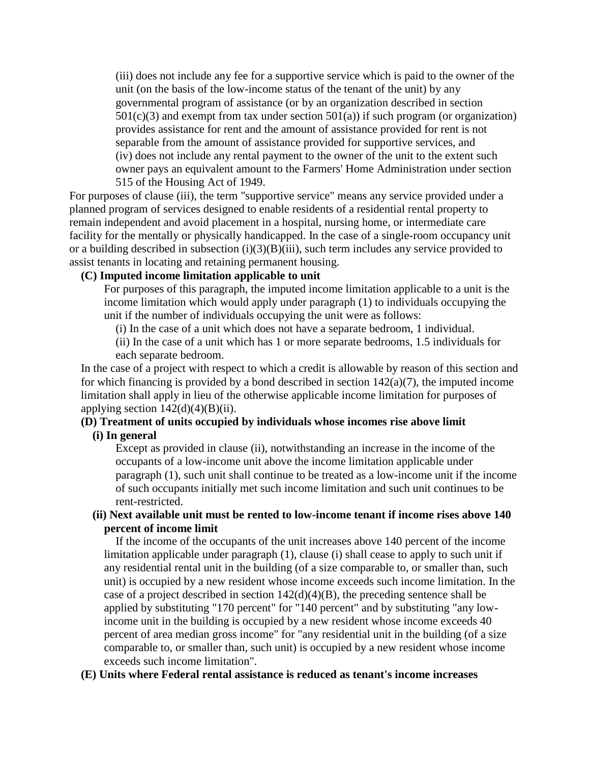(iii) does not include any fee for a supportive service which is paid to the owner of the unit (on the basis of the low-income status of the tenant of the unit) by any governmental program of assistance (or by an organization described in section  $501(c)(3)$  and exempt from tax under section  $501(a)$ ) if such program (or organization) provides assistance for rent and the amount of assistance provided for rent is not separable from the amount of assistance provided for supportive services, and (iv) does not include any rental payment to the owner of the unit to the extent such owner pays an equivalent amount to the Farmers' Home Administration under section 515 of the Housing Act of 1949.

For purposes of clause (iii), the term "supportive service" means any service provided under a planned program of services designed to enable residents of a residential rental property to remain independent and avoid placement in a hospital, nursing home, or intermediate care facility for the mentally or physically handicapped. In the case of a single-room occupancy unit or a building described in subsection  $(i)(3)(B)(iii)$ , such term includes any service provided to assist tenants in locating and retaining permanent housing.

## **(C) Imputed income limitation applicable to unit**

For purposes of this paragraph, the imputed income limitation applicable to a unit is the income limitation which would apply under paragraph (1) to individuals occupying the unit if the number of individuals occupying the unit were as follows:

(i) In the case of a unit which does not have a separate bedroom, 1 individual.

(ii) In the case of a unit which has 1 or more separate bedrooms, 1.5 individuals for each separate bedroom.

In the case of a project with respect to which a credit is allowable by reason of this section and for which financing is provided by a bond described in section  $142(a)(7)$ , the imputed income limitation shall apply in lieu of the otherwise applicable income limitation for purposes of applying section  $142(d)(4)(B)(ii)$ .

# **(D) Treatment of units occupied by individuals whose incomes rise above limit**

# **(i) In general**

Except as provided in clause (ii), notwithstanding an increase in the income of the occupants of a low-income unit above the income limitation applicable under paragraph (1), such unit shall continue to be treated as a low-income unit if the income of such occupants initially met such income limitation and such unit continues to be rent-restricted.

#### **(ii) Next available unit must be rented to low-income tenant if income rises above 140 percent of income limit**

If the income of the occupants of the unit increases above 140 percent of the income limitation applicable under paragraph (1), clause (i) shall cease to apply to such unit if any residential rental unit in the building (of a size comparable to, or smaller than, such unit) is occupied by a new resident whose income exceeds such income limitation. In the case of a project described in section  $142(d)(4)(B)$ , the preceding sentence shall be applied by substituting "170 percent" for "140 percent" and by substituting "any lowincome unit in the building is occupied by a new resident whose income exceeds 40 percent of area median gross income" for "any residential unit in the building (of a size comparable to, or smaller than, such unit) is occupied by a new resident whose income exceeds such income limitation".

#### **(E) Units where Federal rental assistance is reduced as tenant's income increases**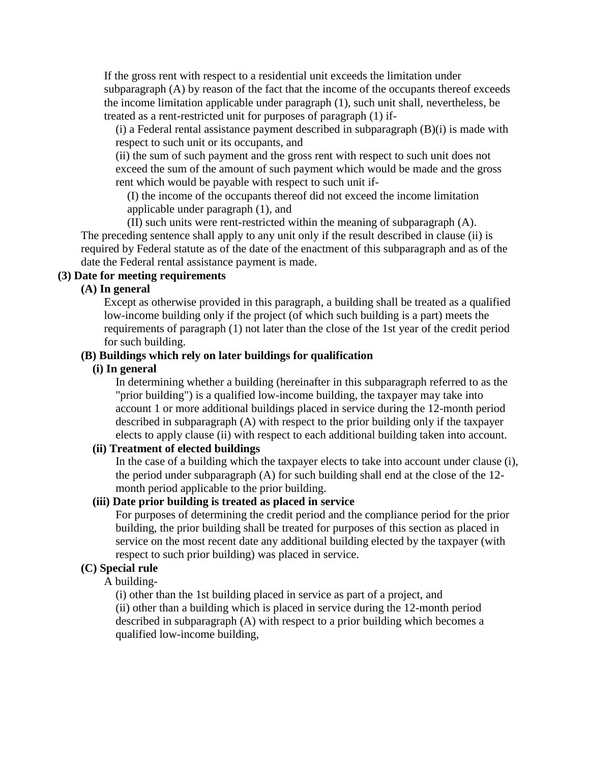If the gross rent with respect to a residential unit exceeds the limitation under subparagraph (A) by reason of the fact that the income of the occupants thereof exceeds the income limitation applicable under paragraph (1), such unit shall, nevertheless, be treated as a rent-restricted unit for purposes of paragraph (1) if-

(i) a Federal rental assistance payment described in subparagraph (B)(i) is made with respect to such unit or its occupants, and

(ii) the sum of such payment and the gross rent with respect to such unit does not exceed the sum of the amount of such payment which would be made and the gross rent which would be payable with respect to such unit if-

(I) the income of the occupants thereof did not exceed the income limitation applicable under paragraph (1), and

(II) such units were rent-restricted within the meaning of subparagraph (A). The preceding sentence shall apply to any unit only if the result described in clause (ii) is required by Federal statute as of the date of the enactment of this subparagraph and as of the date the Federal rental assistance payment is made.

#### **(3) Date for meeting requirements**

#### **(A) In general**

Except as otherwise provided in this paragraph, a building shall be treated as a qualified low-income building only if the project (of which such building is a part) meets the requirements of paragraph (1) not later than the close of the 1st year of the credit period for such building.

### **(B) Buildings which rely on later buildings for qualification**

# **(i) In general**

In determining whether a building (hereinafter in this subparagraph referred to as the "prior building") is a qualified low-income building, the taxpayer may take into account 1 or more additional buildings placed in service during the 12-month period described in subparagraph (A) with respect to the prior building only if the taxpayer elects to apply clause (ii) with respect to each additional building taken into account.

#### **(ii) Treatment of elected buildings**

In the case of a building which the taxpayer elects to take into account under clause (i), the period under subparagraph (A) for such building shall end at the close of the 12 month period applicable to the prior building.

#### **(iii) Date prior building is treated as placed in service**

For purposes of determining the credit period and the compliance period for the prior building, the prior building shall be treated for purposes of this section as placed in service on the most recent date any additional building elected by the taxpayer (with respect to such prior building) was placed in service.

#### **(C) Special rule**

A building-

(i) other than the 1st building placed in service as part of a project, and (ii) other than a building which is placed in service during the 12-month period described in subparagraph (A) with respect to a prior building which becomes a qualified low-income building,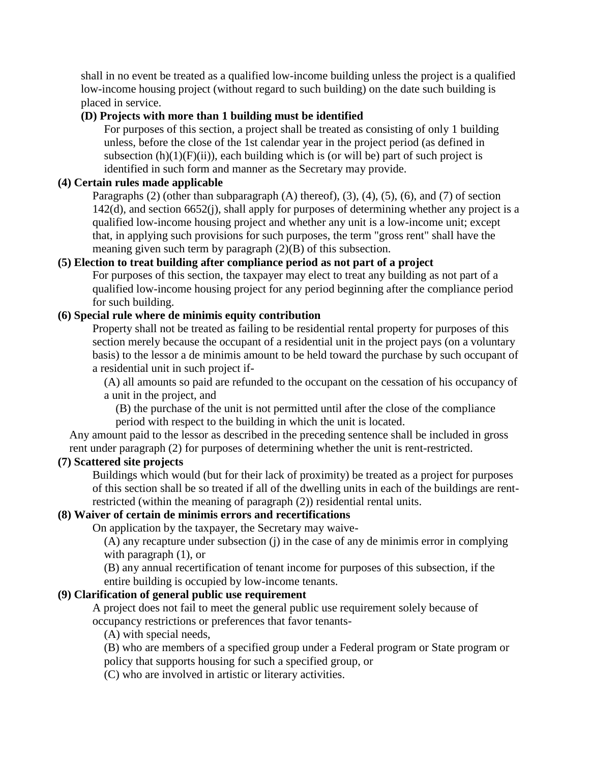shall in no event be treated as a qualified low-income building unless the project is a qualified low-income housing project (without regard to such building) on the date such building is placed in service.

## **(D) Projects with more than 1 building must be identified**

For purposes of this section, a project shall be treated as consisting of only 1 building unless, before the close of the 1st calendar year in the project period (as defined in subsection  $(h)(1)(F)(ii)$ , each building which is (or will be) part of such project is identified in such form and manner as the Secretary may provide.

#### **(4) Certain rules made applicable**

Paragraphs  $(2)$  (other than subparagraph  $(A)$  thereof),  $(3)$ ,  $(4)$ ,  $(5)$ ,  $(6)$ , and  $(7)$  of section 142(d), and section 6652(j), shall apply for purposes of determining whether any project is a qualified low-income housing project and whether any unit is a low-income unit; except that, in applying such provisions for such purposes, the term "gross rent" shall have the meaning given such term by paragraph (2)(B) of this subsection.

## **(5) Election to treat building after compliance period as not part of a project**

For purposes of this section, the taxpayer may elect to treat any building as not part of a qualified low-income housing project for any period beginning after the compliance period for such building.

## **(6) Special rule where de minimis equity contribution**

Property shall not be treated as failing to be residential rental property for purposes of this section merely because the occupant of a residential unit in the project pays (on a voluntary basis) to the lessor a de minimis amount to be held toward the purchase by such occupant of a residential unit in such project if-

(A) all amounts so paid are refunded to the occupant on the cessation of his occupancy of a unit in the project, and

(B) the purchase of the unit is not permitted until after the close of the compliance period with respect to the building in which the unit is located.

Any amount paid to the lessor as described in the preceding sentence shall be included in gross rent under paragraph (2) for purposes of determining whether the unit is rent-restricted.

#### **(7) Scattered site projects**

Buildings which would (but for their lack of proximity) be treated as a project for purposes of this section shall be so treated if all of the dwelling units in each of the buildings are rentrestricted (within the meaning of paragraph (2)) residential rental units.

## **(8) Waiver of certain de minimis errors and recertifications**

On application by the taxpayer, the Secretary may waive-

(A) any recapture under subsection (j) in the case of any de minimis error in complying with paragraph  $(1)$ , or

(B) any annual recertification of tenant income for purposes of this subsection, if the entire building is occupied by low-income tenants.

# **(9) Clarification of general public use requirement**

A project does not fail to meet the general public use requirement solely because of occupancy restrictions or preferences that favor tenants-

(A) with special needs,

(B) who are members of a specified group under a Federal program or State program or policy that supports housing for such a specified group, or

(C) who are involved in artistic or literary activities.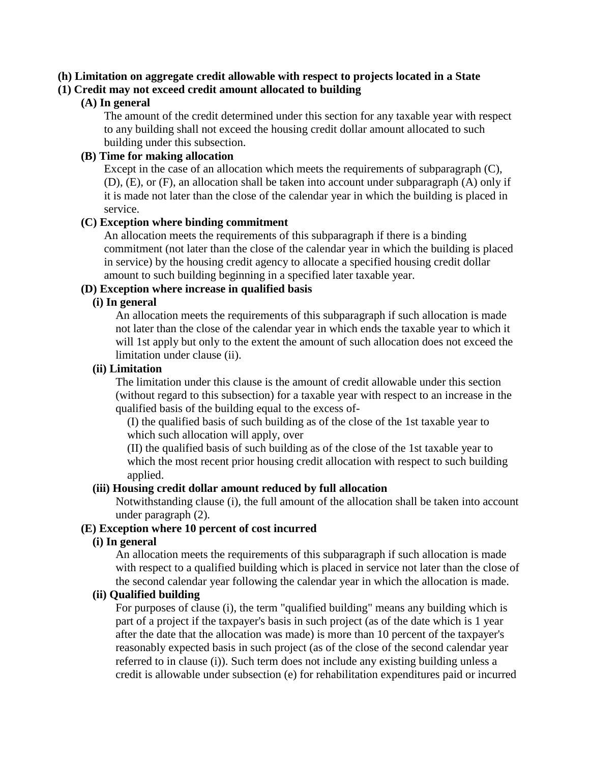# **(h) Limitation on aggregate credit allowable with respect to projects located in a State**

## **(1) Credit may not exceed credit amount allocated to building**

#### **(A) In general**

The amount of the credit determined under this section for any taxable year with respect to any building shall not exceed the housing credit dollar amount allocated to such building under this subsection.

## **(B) Time for making allocation**

Except in the case of an allocation which meets the requirements of subparagraph (C), (D), (E), or (F), an allocation shall be taken into account under subparagraph (A) only if it is made not later than the close of the calendar year in which the building is placed in service.

#### **(C) Exception where binding commitment**

An allocation meets the requirements of this subparagraph if there is a binding commitment (not later than the close of the calendar year in which the building is placed in service) by the housing credit agency to allocate a specified housing credit dollar amount to such building beginning in a specified later taxable year.

## **(D) Exception where increase in qualified basis**

#### **(i) In general**

An allocation meets the requirements of this subparagraph if such allocation is made not later than the close of the calendar year in which ends the taxable year to which it will 1st apply but only to the extent the amount of such allocation does not exceed the limitation under clause (ii).

#### **(ii) Limitation**

The limitation under this clause is the amount of credit allowable under this section (without regard to this subsection) for a taxable year with respect to an increase in the qualified basis of the building equal to the excess of-

(I) the qualified basis of such building as of the close of the 1st taxable year to which such allocation will apply, over

(II) the qualified basis of such building as of the close of the 1st taxable year to which the most recent prior housing credit allocation with respect to such building applied.

#### **(iii) Housing credit dollar amount reduced by full allocation**

Notwithstanding clause (i), the full amount of the allocation shall be taken into account under paragraph (2).

## **(E) Exception where 10 percent of cost incurred**

## **(i) In general**

An allocation meets the requirements of this subparagraph if such allocation is made with respect to a qualified building which is placed in service not later than the close of the second calendar year following the calendar year in which the allocation is made.

### **(ii) Qualified building**

For purposes of clause (i), the term "qualified building" means any building which is part of a project if the taxpayer's basis in such project (as of the date which is 1 year after the date that the allocation was made) is more than 10 percent of the taxpayer's reasonably expected basis in such project (as of the close of the second calendar year referred to in clause (i)). Such term does not include any existing building unless a credit is allowable under subsection (e) for rehabilitation expenditures paid or incurred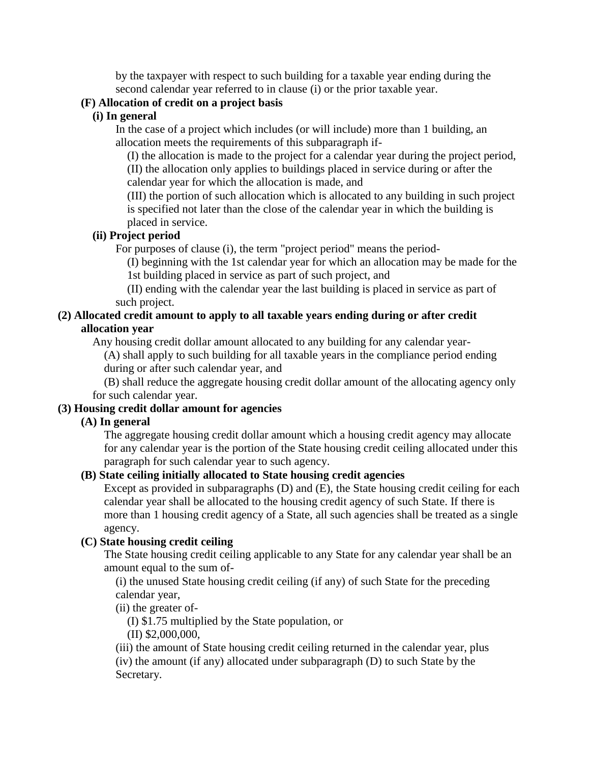by the taxpayer with respect to such building for a taxable year ending during the second calendar year referred to in clause (i) or the prior taxable year.

## **(F) Allocation of credit on a project basis**

## **(i) In general**

In the case of a project which includes (or will include) more than 1 building, an allocation meets the requirements of this subparagraph if-

(I) the allocation is made to the project for a calendar year during the project period, (II) the allocation only applies to buildings placed in service during or after the calendar year for which the allocation is made, and

(III) the portion of such allocation which is allocated to any building in such project is specified not later than the close of the calendar year in which the building is placed in service.

### **(ii) Project period**

For purposes of clause (i), the term "project period" means the period-

(I) beginning with the 1st calendar year for which an allocation may be made for the 1st building placed in service as part of such project, and

(II) ending with the calendar year the last building is placed in service as part of such project.

#### **(2) Allocated credit amount to apply to all taxable years ending during or after credit allocation year**

Any housing credit dollar amount allocated to any building for any calendar year-

(A) shall apply to such building for all taxable years in the compliance period ending during or after such calendar year, and

(B) shall reduce the aggregate housing credit dollar amount of the allocating agency only for such calendar year.

## **(3) Housing credit dollar amount for agencies**

## **(A) In general**

The aggregate housing credit dollar amount which a housing credit agency may allocate for any calendar year is the portion of the State housing credit ceiling allocated under this paragraph for such calendar year to such agency.

## **(B) State ceiling initially allocated to State housing credit agencies**

Except as provided in subparagraphs (D) and (E), the State housing credit ceiling for each calendar year shall be allocated to the housing credit agency of such State. If there is more than 1 housing credit agency of a State, all such agencies shall be treated as a single agency.

## **(C) State housing credit ceiling**

The State housing credit ceiling applicable to any State for any calendar year shall be an amount equal to the sum of-

(i) the unused State housing credit ceiling (if any) of such State for the preceding calendar year,

(ii) the greater of-

(I) \$1.75 multiplied by the State population, or

(II) \$2,000,000,

(iii) the amount of State housing credit ceiling returned in the calendar year, plus (iv) the amount (if any) allocated under subparagraph (D) to such State by the Secretary.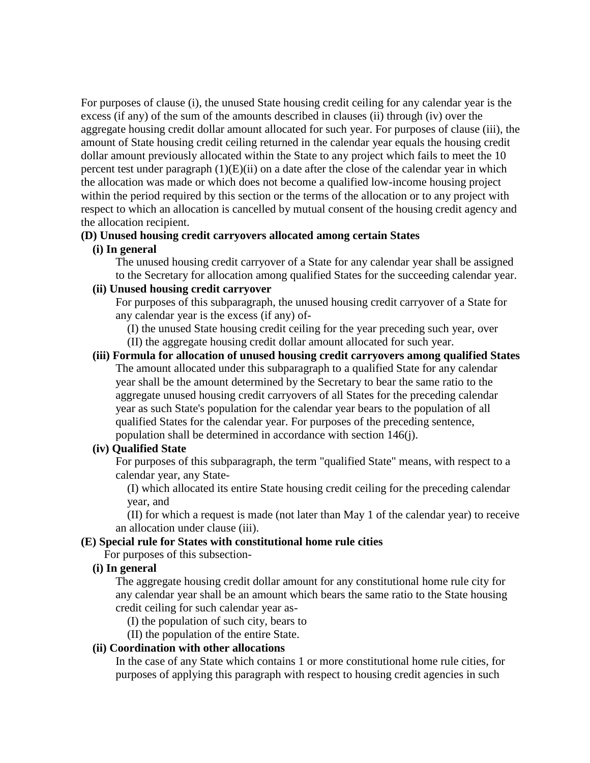For purposes of clause (i), the unused State housing credit ceiling for any calendar year is the excess (if any) of the sum of the amounts described in clauses (ii) through (iv) over the aggregate housing credit dollar amount allocated for such year. For purposes of clause (iii), the amount of State housing credit ceiling returned in the calendar year equals the housing credit dollar amount previously allocated within the State to any project which fails to meet the 10 percent test under paragraph  $(1)(E)(ii)$  on a date after the close of the calendar year in which the allocation was made or which does not become a qualified low-income housing project within the period required by this section or the terms of the allocation or to any project with respect to which an allocation is cancelled by mutual consent of the housing credit agency and the allocation recipient.

# **(D) Unused housing credit carryovers allocated among certain States**

#### **(i) In general**

The unused housing credit carryover of a State for any calendar year shall be assigned to the Secretary for allocation among qualified States for the succeeding calendar year.

#### **(ii) Unused housing credit carryover**

For purposes of this subparagraph, the unused housing credit carryover of a State for any calendar year is the excess (if any) of-

(I) the unused State housing credit ceiling for the year preceding such year, over (II) the aggregate housing credit dollar amount allocated for such year.

**(iii) Formula for allocation of unused housing credit carryovers among qualified States** The amount allocated under this subparagraph to a qualified State for any calendar year shall be the amount determined by the Secretary to bear the same ratio to the aggregate unused housing credit carryovers of all States for the preceding calendar year as such State's population for the calendar year bears to the population of all qualified States for the calendar year. For purposes of the preceding sentence, population shall be determined in accordance with section 146(j).

#### **(iv) Qualified State**

For purposes of this subparagraph, the term "qualified State" means, with respect to a calendar year, any State-

(I) which allocated its entire State housing credit ceiling for the preceding calendar year, and

(II) for which a request is made (not later than May 1 of the calendar year) to receive an allocation under clause (iii).

#### **(E) Special rule for States with constitutional home rule cities**

For purposes of this subsection-

#### **(i) In general**

The aggregate housing credit dollar amount for any constitutional home rule city for any calendar year shall be an amount which bears the same ratio to the State housing credit ceiling for such calendar year as-

(I) the population of such city, bears to

(II) the population of the entire State.

## **(ii) Coordination with other allocations**

In the case of any State which contains 1 or more constitutional home rule cities, for purposes of applying this paragraph with respect to housing credit agencies in such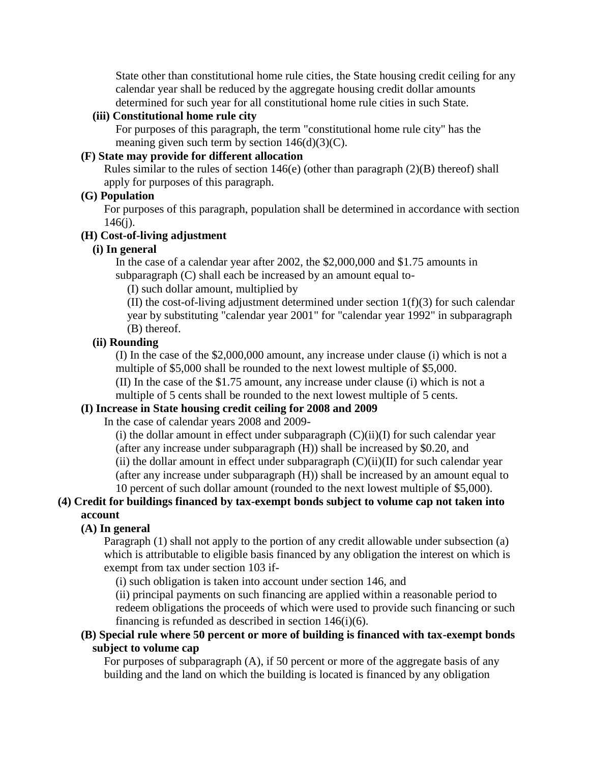State other than constitutional home rule cities, the State housing credit ceiling for any calendar year shall be reduced by the aggregate housing credit dollar amounts determined for such year for all constitutional home rule cities in such State.

#### **(iii) Constitutional home rule city**

For purposes of this paragraph, the term "constitutional home rule city" has the meaning given such term by section  $146(d)(3)(C)$ .

# **(F) State may provide for different allocation**

Rules similar to the rules of section  $146(e)$  (other than paragraph  $(2)(B)$  thereof) shall apply for purposes of this paragraph.

## **(G) Population**

For purposes of this paragraph, population shall be determined in accordance with section  $146(i)$ .

#### **(H) Cost-of-living adjustment**

### **(i) In general**

In the case of a calendar year after 2002, the \$2,000,000 and \$1.75 amounts in subparagraph (C) shall each be increased by an amount equal to-

(I) such dollar amount, multiplied by

(II) the cost-of-living adjustment determined under section 1(f)(3) for such calendar year by substituting "calendar year 2001" for "calendar year 1992" in subparagraph (B) thereof.

#### **(ii) Rounding**

(I) In the case of the \$2,000,000 amount, any increase under clause (i) which is not a multiple of \$5,000 shall be rounded to the next lowest multiple of \$5,000.

(II) In the case of the \$1.75 amount, any increase under clause (i) which is not a multiple of 5 cents shall be rounded to the next lowest multiple of 5 cents.

#### **(I) Increase in State housing credit ceiling for 2008 and 2009**

In the case of calendar years 2008 and 2009-

 $(i)$  the dollar amount in effect under subparagraph  $(C)(ii)(I)$  for such calendar year (after any increase under subparagraph (H)) shall be increased by \$0.20, and

(ii) the dollar amount in effect under subparagraph  $(C)(ii)(II)$  for such calendar year

(after any increase under subparagraph (H)) shall be increased by an amount equal to

10 percent of such dollar amount (rounded to the next lowest multiple of \$5,000).

## **(4) Credit for buildings financed by tax-exempt bonds subject to volume cap not taken into account**

#### **(A) In general**

Paragraph (1) shall not apply to the portion of any credit allowable under subsection (a) which is attributable to eligible basis financed by any obligation the interest on which is exempt from tax under section 103 if-

(i) such obligation is taken into account under section 146, and

(ii) principal payments on such financing are applied within a reasonable period to redeem obligations the proceeds of which were used to provide such financing or such financing is refunded as described in section 146(i)(6).

#### **(B) Special rule where 50 percent or more of building is financed with tax-exempt bonds subject to volume cap**

For purposes of subparagraph (A), if 50 percent or more of the aggregate basis of any building and the land on which the building is located is financed by any obligation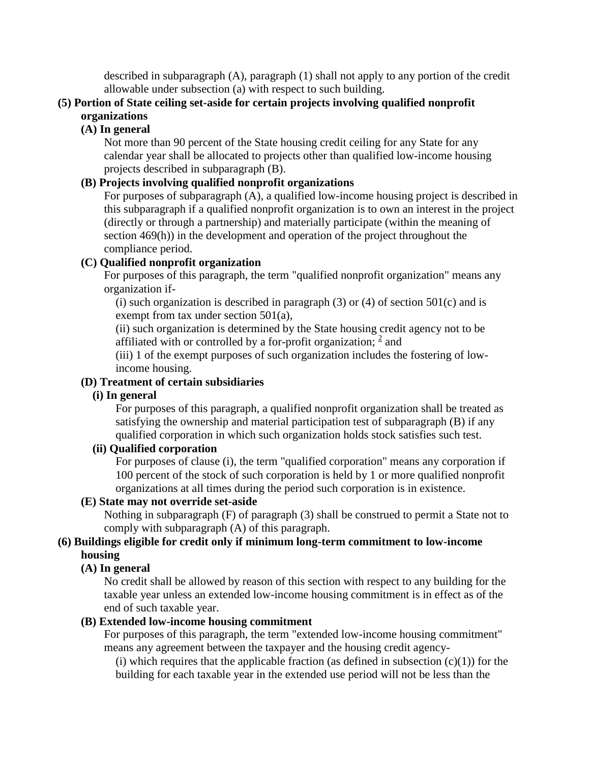described in subparagraph (A), paragraph (1) shall not apply to any portion of the credit allowable under subsection (a) with respect to such building.

# **(5) Portion of State ceiling set-aside for certain projects involving qualified nonprofit organizations**

## **(A) In general**

Not more than 90 percent of the State housing credit ceiling for any State for any calendar year shall be allocated to projects other than qualified low-income housing projects described in subparagraph (B).

# **(B) Projects involving qualified nonprofit organizations**

For purposes of subparagraph (A), a qualified low-income housing project is described in this subparagraph if a qualified nonprofit organization is to own an interest in the project (directly or through a partnership) and materially participate (within the meaning of section 469(h)) in the development and operation of the project throughout the compliance period.

# **(C) Qualified nonprofit organization**

For purposes of this paragraph, the term "qualified nonprofit organization" means any organization if-

(i) such organization is described in paragraph  $(3)$  or  $(4)$  of section 501 $(c)$  and is exempt from tax under section 501(a),

(ii) such organization is determined by the State housing credit agency not to be affiliated with or controlled by a for-profit organization;  $\frac{2}{3}$  $\frac{2}{3}$  $\frac{2}{3}$  and

(iii) 1 of the exempt purposes of such organization includes the fostering of lowincome housing.

# **(D) Treatment of certain subsidiaries**

# **(i) In general**

For purposes of this paragraph, a qualified nonprofit organization shall be treated as satisfying the ownership and material participation test of subparagraph (B) if any qualified corporation in which such organization holds stock satisfies such test.

## **(ii) Qualified corporation**

For purposes of clause (i), the term "qualified corporation" means any corporation if 100 percent of the stock of such corporation is held by 1 or more qualified nonprofit organizations at all times during the period such corporation is in existence.

## **(E) State may not override set-aside**

Nothing in subparagraph (F) of paragraph (3) shall be construed to permit a State not to comply with subparagraph (A) of this paragraph.

## **(6) Buildings eligible for credit only if minimum long-term commitment to low-income housing**

## **(A) In general**

No credit shall be allowed by reason of this section with respect to any building for the taxable year unless an extended low-income housing commitment is in effect as of the end of such taxable year.

## **(B) Extended low-income housing commitment**

For purposes of this paragraph, the term "extended low-income housing commitment" means any agreement between the taxpayer and the housing credit agency-

(i) which requires that the applicable fraction (as defined in subsection  $(c)(1)$ ) for the building for each taxable year in the extended use period will not be less than the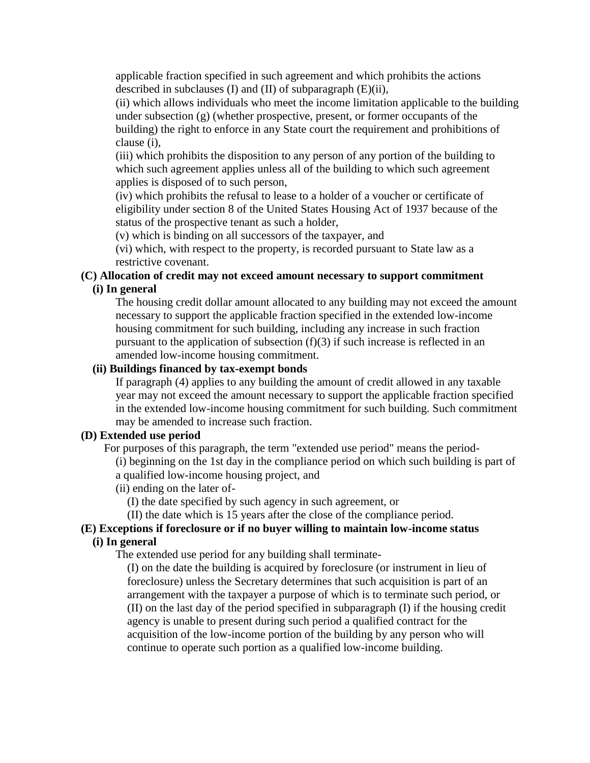applicable fraction specified in such agreement and which prohibits the actions described in subclauses (I) and (II) of subparagraph (E)(ii),

(ii) which allows individuals who meet the income limitation applicable to the building under subsection (g) (whether prospective, present, or former occupants of the building) the right to enforce in any State court the requirement and prohibitions of clause (i),

(iii) which prohibits the disposition to any person of any portion of the building to which such agreement applies unless all of the building to which such agreement applies is disposed of to such person,

(iv) which prohibits the refusal to lease to a holder of a voucher or certificate of eligibility under section 8 of the United States Housing Act of 1937 because of the status of the prospective tenant as such a holder,

(v) which is binding on all successors of the taxpayer, and

(vi) which, with respect to the property, is recorded pursuant to State law as a restrictive covenant.

#### **(C) Allocation of credit may not exceed amount necessary to support commitment (i) In general**

The housing credit dollar amount allocated to any building may not exceed the amount necessary to support the applicable fraction specified in the extended low-income housing commitment for such building, including any increase in such fraction pursuant to the application of subsection  $(f)(3)$  if such increase is reflected in an amended low-income housing commitment.

#### **(ii) Buildings financed by tax-exempt bonds**

If paragraph (4) applies to any building the amount of credit allowed in any taxable year may not exceed the amount necessary to support the applicable fraction specified in the extended low-income housing commitment for such building. Such commitment may be amended to increase such fraction.

#### **(D) Extended use period**

For purposes of this paragraph, the term "extended use period" means the period-

(i) beginning on the 1st day in the compliance period on which such building is part of a qualified low-income housing project, and

(ii) ending on the later of-

(I) the date specified by such agency in such agreement, or

(II) the date which is 15 years after the close of the compliance period.

# **(E) Exceptions if foreclosure or if no buyer willing to maintain low-income status**

# **(i) In general**

The extended use period for any building shall terminate-

(I) on the date the building is acquired by foreclosure (or instrument in lieu of foreclosure) unless the Secretary determines that such acquisition is part of an arrangement with the taxpayer a purpose of which is to terminate such period, or (II) on the last day of the period specified in subparagraph (I) if the housing credit agency is unable to present during such period a qualified contract for the acquisition of the low-income portion of the building by any person who will continue to operate such portion as a qualified low-income building.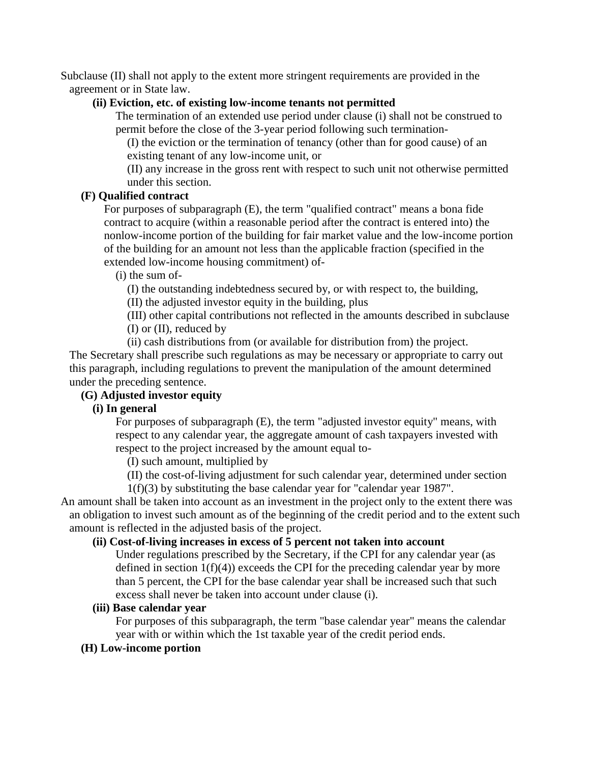Subclause (II) shall not apply to the extent more stringent requirements are provided in the agreement or in State law.

#### **(ii) Eviction, etc. of existing low-income tenants not permitted**

The termination of an extended use period under clause (i) shall not be construed to permit before the close of the 3-year period following such termination-

(I) the eviction or the termination of tenancy (other than for good cause) of an existing tenant of any low-income unit, or

(II) any increase in the gross rent with respect to such unit not otherwise permitted under this section.

## **(F) Qualified contract**

For purposes of subparagraph (E), the term "qualified contract" means a bona fide contract to acquire (within a reasonable period after the contract is entered into) the nonlow-income portion of the building for fair market value and the low-income portion of the building for an amount not less than the applicable fraction (specified in the extended low-income housing commitment) of-

(i) the sum of-

(I) the outstanding indebtedness secured by, or with respect to, the building,

(II) the adjusted investor equity in the building, plus

(III) other capital contributions not reflected in the amounts described in subclause (I) or (II), reduced by

(ii) cash distributions from (or available for distribution from) the project.

The Secretary shall prescribe such regulations as may be necessary or appropriate to carry out this paragraph, including regulations to prevent the manipulation of the amount determined under the preceding sentence.

## **(G) Adjusted investor equity**

## **(i) In general**

For purposes of subparagraph (E), the term "adjusted investor equity" means, with respect to any calendar year, the aggregate amount of cash taxpayers invested with respect to the project increased by the amount equal to-

(I) such amount, multiplied by

(II) the cost-of-living adjustment for such calendar year, determined under section

1(f)(3) by substituting the base calendar year for "calendar year 1987".

An amount shall be taken into account as an investment in the project only to the extent there was an obligation to invest such amount as of the beginning of the credit period and to the extent such amount is reflected in the adjusted basis of the project.

# **(ii) Cost-of-living increases in excess of 5 percent not taken into account**

Under regulations prescribed by the Secretary, if the CPI for any calendar year (as defined in section  $1(f)(4)$ ) exceeds the CPI for the preceding calendar year by more than 5 percent, the CPI for the base calendar year shall be increased such that such excess shall never be taken into account under clause (i).

## **(iii) Base calendar year**

For purposes of this subparagraph, the term "base calendar year" means the calendar year with or within which the 1st taxable year of the credit period ends.

## **(H) Low-income portion**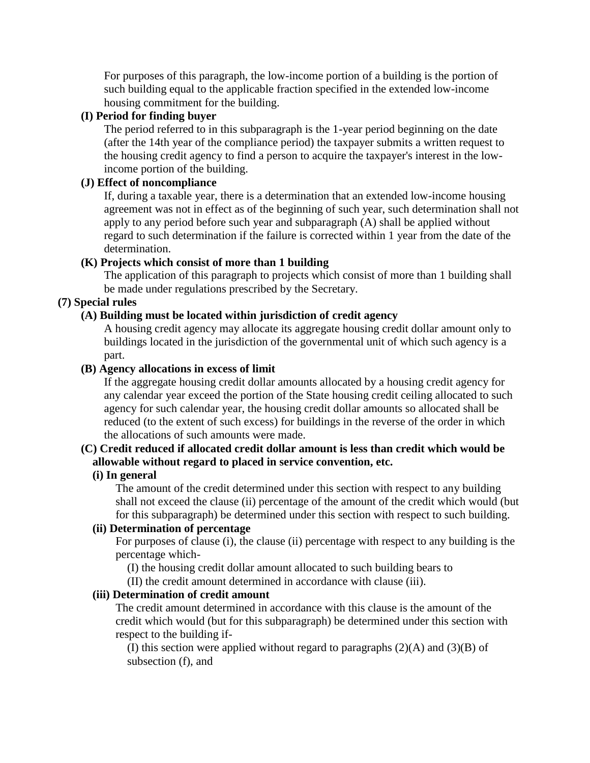For purposes of this paragraph, the low-income portion of a building is the portion of such building equal to the applicable fraction specified in the extended low-income housing commitment for the building.

#### **(I) Period for finding buyer**

The period referred to in this subparagraph is the 1-year period beginning on the date (after the 14th year of the compliance period) the taxpayer submits a written request to the housing credit agency to find a person to acquire the taxpayer's interest in the lowincome portion of the building.

## **(J) Effect of noncompliance**

If, during a taxable year, there is a determination that an extended low-income housing agreement was not in effect as of the beginning of such year, such determination shall not apply to any period before such year and subparagraph (A) shall be applied without regard to such determination if the failure is corrected within 1 year from the date of the determination.

## **(K) Projects which consist of more than 1 building**

The application of this paragraph to projects which consist of more than 1 building shall be made under regulations prescribed by the Secretary.

## **(7) Special rules**

#### **(A) Building must be located within jurisdiction of credit agency**

A housing credit agency may allocate its aggregate housing credit dollar amount only to buildings located in the jurisdiction of the governmental unit of which such agency is a part.

#### **(B) Agency allocations in excess of limit**

If the aggregate housing credit dollar amounts allocated by a housing credit agency for any calendar year exceed the portion of the State housing credit ceiling allocated to such agency for such calendar year, the housing credit dollar amounts so allocated shall be reduced (to the extent of such excess) for buildings in the reverse of the order in which the allocations of such amounts were made.

## **(C) Credit reduced if allocated credit dollar amount is less than credit which would be allowable without regard to placed in service convention, etc.**

## **(i) In general**

The amount of the credit determined under this section with respect to any building shall not exceed the clause (ii) percentage of the amount of the credit which would (but for this subparagraph) be determined under this section with respect to such building.

#### **(ii) Determination of percentage**

For purposes of clause (i), the clause (ii) percentage with respect to any building is the percentage which-

(I) the housing credit dollar amount allocated to such building bears to

(II) the credit amount determined in accordance with clause (iii).

## **(iii) Determination of credit amount**

The credit amount determined in accordance with this clause is the amount of the credit which would (but for this subparagraph) be determined under this section with respect to the building if-

(I) this section were applied without regard to paragraphs  $(2)(A)$  and  $(3)(B)$  of subsection (f), and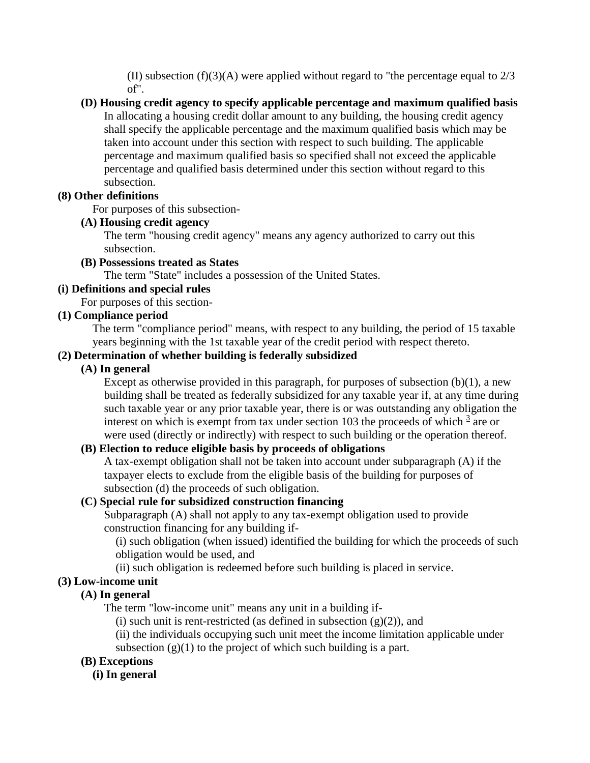(II) subsection (f)(3)(A) were applied without regard to "the percentage equal to  $2/3$ of".

**(D) Housing credit agency to specify applicable percentage and maximum qualified basis** In allocating a housing credit dollar amount to any building, the housing credit agency shall specify the applicable percentage and the maximum qualified basis which may be taken into account under this section with respect to such building. The applicable percentage and maximum qualified basis so specified shall not exceed the applicable percentage and qualified basis determined under this section without regard to this subsection.

#### **(8) Other definitions**

For purposes of this subsection-

#### **(A) Housing credit agency**

The term "housing credit agency" means any agency authorized to carry out this subsection.

#### **(B) Possessions treated as States**

The term "State" includes a possession of the United States.

#### **(i) Definitions and special rules**

For purposes of this section-

# **(1) Compliance period**

The term "compliance period" means, with respect to any building, the period of 15 taxable years beginning with the 1st taxable year of the credit period with respect thereto.

### **(2) Determination of whether building is federally subsidized**

#### **(A) In general**

Except as otherwise provided in this paragraph, for purposes of subsection  $(b)(1)$ , a new building shall be treated as federally subsidized for any taxable year if, at any time during such taxable year or any prior taxable year, there is or was outstanding any obligation the interest on which is exempt from tax under section 10[3](http://uscode.house.gov/view.xhtml?req=(title:26%20section:42%20edition:prelim)%20OR%20(granuleid:USC-prelim-title26-section42)&f=treesort&edition=prelim&num=0&jumpTo=true#42_3_target) the proceeds of which  $\frac{3}{2}$  are or were used (directly or indirectly) with respect to such building or the operation thereof.

## **(B) Election to reduce eligible basis by proceeds of obligations**

A tax-exempt obligation shall not be taken into account under subparagraph (A) if the taxpayer elects to exclude from the eligible basis of the building for purposes of subsection (d) the proceeds of such obligation.

## **(C) Special rule for subsidized construction financing**

Subparagraph (A) shall not apply to any tax-exempt obligation used to provide construction financing for any building if-

(i) such obligation (when issued) identified the building for which the proceeds of such obligation would be used, and

(ii) such obligation is redeemed before such building is placed in service.

## **(3) Low-income unit**

## **(A) In general**

The term "low-income unit" means any unit in a building if-

(i) such unit is rent-restricted (as defined in subsection  $(g)(2)$ ), and

(ii) the individuals occupying such unit meet the income limitation applicable under

subsection  $(g)(1)$  to the project of which such building is a part.

## **(B) Exceptions**

**(i) In general**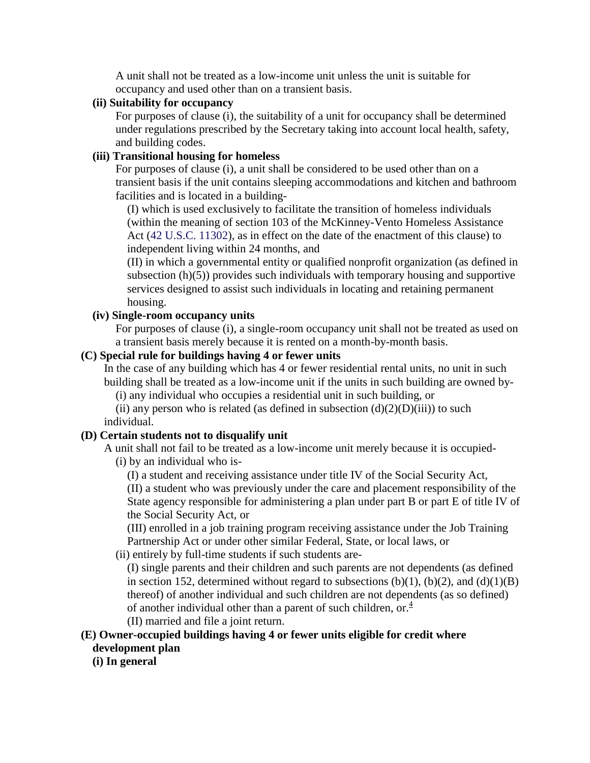A unit shall not be treated as a low-income unit unless the unit is suitable for occupancy and used other than on a transient basis.

#### **(ii) Suitability for occupancy**

For purposes of clause (i), the suitability of a unit for occupancy shall be determined under regulations prescribed by the Secretary taking into account local health, safety, and building codes.

## **(iii) Transitional housing for homeless**

For purposes of clause (i), a unit shall be considered to be used other than on a transient basis if the unit contains sleeping accommodations and kitchen and bathroom facilities and is located in a building-

(I) which is used exclusively to facilitate the transition of homeless individuals (within the meaning of section 103 of the McKinney-Vento Homeless Assistance Act (42 U.S.C. 11302), as in effect on the date of the enactment of this clause) to independent living within 24 months, and

(II) in which a governmental entity or qualified nonprofit organization (as defined in subsection (h)(5)) provides such individuals with temporary housing and supportive services designed to assist such individuals in locating and retaining permanent housing.

# **(iv) Single-room occupancy units**

For purposes of clause (i), a single-room occupancy unit shall not be treated as used on a transient basis merely because it is rented on a month-by-month basis.

# **(C) Special rule for buildings having 4 or fewer units**

In the case of any building which has 4 or fewer residential rental units, no unit in such building shall be treated as a low-income unit if the units in such building are owned by-

(i) any individual who occupies a residential unit in such building, or

(ii) any person who is related (as defined in subsection  $(d)(2)(D)(iii)$ ) to such individual.

## **(D) Certain students not to disqualify unit**

A unit shall not fail to be treated as a low-income unit merely because it is occupied-

(i) by an individual who is-

(I) a student and receiving assistance under title IV of the Social Security Act, (II) a student who was previously under the care and placement responsibility of the State agency responsible for administering a plan under part B or part E of title IV of the Social Security Act, or

(III) enrolled in a job training program receiving assistance under the Job Training Partnership Act or under other similar Federal, State, or local laws, or

(ii) entirely by full-time students if such students are-

(I) single parents and their children and such parents are not dependents (as defined in section 152, determined without regard to subsections  $(b)(1)$ ,  $(b)(2)$ , and  $(d)(1)(B)$ thereof) of another individual and such children are not dependents (as so defined) of another individual other than a parent of such children, or[.](http://uscode.house.gov/view.xhtml?req=(title:26%20section:42%20edition:prelim)%20OR%20(granuleid:USC-prelim-title26-section42)&f=treesort&edition=prelim&num=0&jumpTo=true#42_4_target) $\frac{4}{3}$ (II) married and file a joint return.

# **(E) Owner-occupied buildings having 4 or fewer units eligible for credit where**

**development plan**

**(i) In general**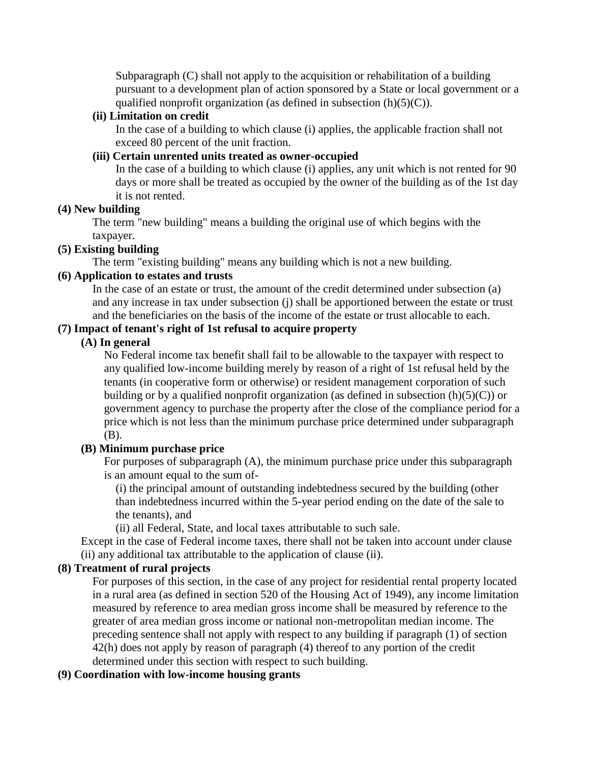Subparagraph (C) shall not apply to the acquisition or rehabilitation of a building pursuant to a development plan of action sponsored by a State or local government or a qualified nonprofit organization (as defined in subsection  $(h)(5)(C)$ ).

#### **(ii) Limitation on credit**

In the case of a building to which clause (i) applies, the applicable fraction shall not exceed 80 percent of the unit fraction.

### **(iii) Certain unrented units treated as owner-occupied**

In the case of a building to which clause (i) applies, any unit which is not rented for 90 days or more shall be treated as occupied by the owner of the building as of the 1st day it is not rented.

#### **(4) New building**

The term "new building" means a building the original use of which begins with the taxpayer.

#### **(5) Existing building**

The term "existing building" means any building which is not a new building.

#### **(6) Application to estates and trusts**

In the case of an estate or trust, the amount of the credit determined under subsection (a) and any increase in tax under subsection (j) shall be apportioned between the estate or trust and the beneficiaries on the basis of the income of the estate or trust allocable to each.

#### **(7) Impact of tenant's right of 1st refusal to acquire property**

#### **(A) In general**

No Federal income tax benefit shall fail to be allowable to the taxpayer with respect to any qualified low-income building merely by reason of a right of 1st refusal held by the tenants (in cooperative form or otherwise) or resident management corporation of such building or by a qualified nonprofit organization (as defined in subsection  $(h)(5)(C)$ ) or government agency to purchase the property after the close of the compliance period for a price which is not less than the minimum purchase price determined under subparagraph (B).

## **(B) Minimum purchase price**

For purposes of subparagraph (A), the minimum purchase price under this subparagraph is an amount equal to the sum of-

(i) the principal amount of outstanding indebtedness secured by the building (other than indebtedness incurred within the 5-year period ending on the date of the sale to the tenants), and

(ii) all Federal, State, and local taxes attributable to such sale.

Except in the case of Federal income taxes, there shall not be taken into account under clause (ii) any additional tax attributable to the application of clause (ii).

#### **(8) Treatment of rural projects**

For purposes of this section, in the case of any project for residential rental property located in a rural area (as defined in section 520 of the Housing Act of 1949), any income limitation measured by reference to area median gross income shall be measured by reference to the greater of area median gross income or national non-metropolitan median income. The preceding sentence shall not apply with respect to any building if paragraph (1) of section 42(h) does not apply by reason of paragraph (4) thereof to any portion of the credit determined under this section with respect to such building.

#### **(9) Coordination with low-income housing grants**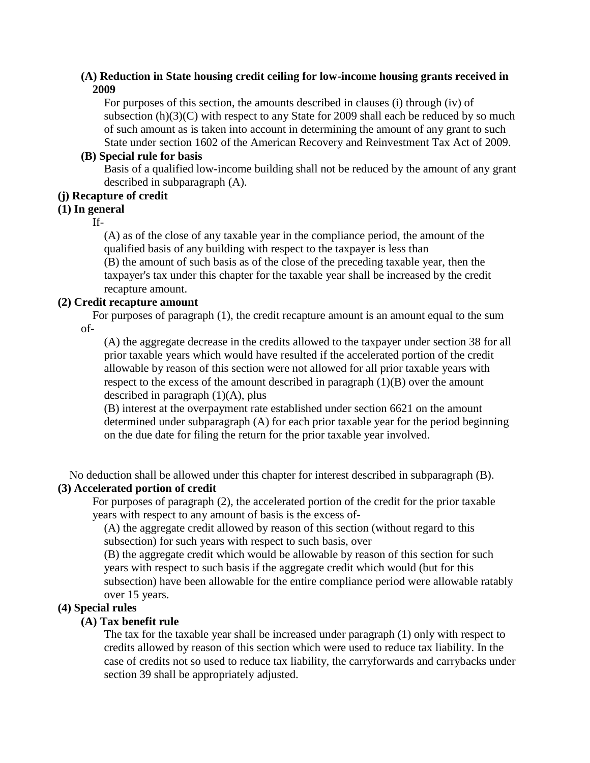#### **(A) Reduction in State housing credit ceiling for low-income housing grants received in 2009**

For purposes of this section, the amounts described in clauses (i) through (iv) of subsection  $(h)(3)(C)$  with respect to any State for 2009 shall each be reduced by so much of such amount as is taken into account in determining the amount of any grant to such State under section 1602 of the American Recovery and Reinvestment Tax Act of 2009.

#### **(B) Special rule for basis**

Basis of a qualified low-income building shall not be reduced by the amount of any grant described in subparagraph (A).

### **(j) Recapture of credit**

#### **(1) In general**

If-

(A) as of the close of any taxable year in the compliance period, the amount of the qualified basis of any building with respect to the taxpayer is less than

(B) the amount of such basis as of the close of the preceding taxable year, then the taxpayer's tax under this chapter for the taxable year shall be increased by the credit recapture amount.

#### **(2) Credit recapture amount**

For purposes of paragraph (1), the credit recapture amount is an amount equal to the sum of-

(A) the aggregate decrease in the credits allowed to the taxpayer under section 38 for all prior taxable years which would have resulted if the accelerated portion of the credit allowable by reason of this section were not allowed for all prior taxable years with respect to the excess of the amount described in paragraph  $(1)(B)$  over the amount described in paragraph  $(1)(A)$ , plus

(B) interest at the overpayment rate established under section 6621 on the amount determined under subparagraph (A) for each prior taxable year for the period beginning on the due date for filing the return for the prior taxable year involved.

No deduction shall be allowed under this chapter for interest described in subparagraph (B).

# **(3) Accelerated portion of credit**

For purposes of paragraph (2), the accelerated portion of the credit for the prior taxable years with respect to any amount of basis is the excess of-

(A) the aggregate credit allowed by reason of this section (without regard to this subsection) for such years with respect to such basis, over

(B) the aggregate credit which would be allowable by reason of this section for such years with respect to such basis if the aggregate credit which would (but for this subsection) have been allowable for the entire compliance period were allowable ratably over 15 years.

## **(4) Special rules**

## **(A) Tax benefit rule**

The tax for the taxable year shall be increased under paragraph (1) only with respect to credits allowed by reason of this section which were used to reduce tax liability. In the case of credits not so used to reduce tax liability, the carryforwards and carrybacks under section 39 shall be appropriately adjusted.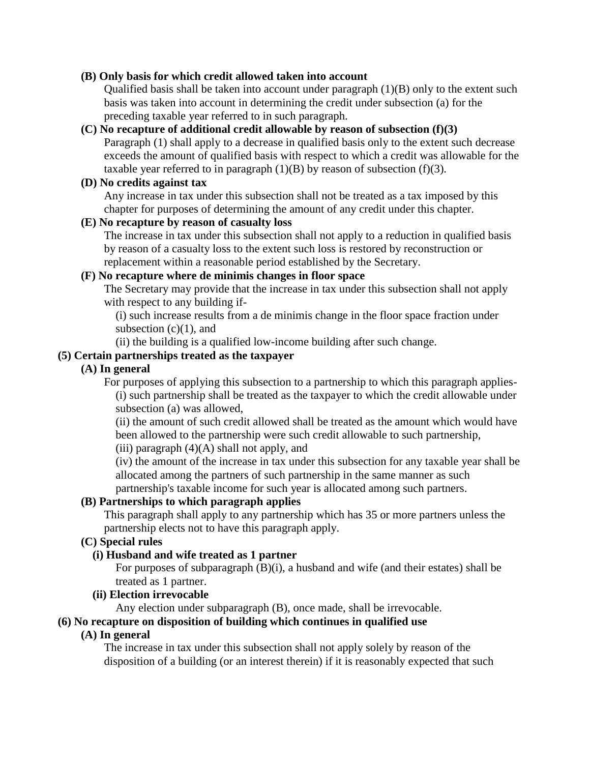#### **(B) Only basis for which credit allowed taken into account**

Qualified basis shall be taken into account under paragraph (1)(B) only to the extent such basis was taken into account in determining the credit under subsection (a) for the preceding taxable year referred to in such paragraph.

## **(C) No recapture of additional credit allowable by reason of subsection (f)(3)**

Paragraph (1) shall apply to a decrease in qualified basis only to the extent such decrease exceeds the amount of qualified basis with respect to which a credit was allowable for the taxable year referred to in paragraph  $(1)(B)$  by reason of subsection  $(f)(3)$ .

#### **(D) No credits against tax**

Any increase in tax under this subsection shall not be treated as a tax imposed by this chapter for purposes of determining the amount of any credit under this chapter.

## **(E) No recapture by reason of casualty loss**

The increase in tax under this subsection shall not apply to a reduction in qualified basis by reason of a casualty loss to the extent such loss is restored by reconstruction or replacement within a reasonable period established by the Secretary.

#### **(F) No recapture where de minimis changes in floor space**

The Secretary may provide that the increase in tax under this subsection shall not apply with respect to any building if-

(i) such increase results from a de minimis change in the floor space fraction under subsection  $(c)(1)$ , and

(ii) the building is a qualified low-income building after such change.

### **(5) Certain partnerships treated as the taxpayer**

## **(A) In general**

For purposes of applying this subsection to a partnership to which this paragraph applies- (i) such partnership shall be treated as the taxpayer to which the credit allowable under subsection (a) was allowed,

(ii) the amount of such credit allowed shall be treated as the amount which would have been allowed to the partnership were such credit allowable to such partnership,

(iii) paragraph  $(4)(A)$  shall not apply, and

(iv) the amount of the increase in tax under this subsection for any taxable year shall be allocated among the partners of such partnership in the same manner as such partnership's taxable income for such year is allocated among such partners.

#### **(B) Partnerships to which paragraph applies**

This paragraph shall apply to any partnership which has 35 or more partners unless the partnership elects not to have this paragraph apply.

## **(C) Special rules**

#### **(i) Husband and wife treated as 1 partner**

For purposes of subparagraph (B)(i), a husband and wife (and their estates) shall be treated as 1 partner.

#### **(ii) Election irrevocable**

Any election under subparagraph (B), once made, shall be irrevocable.

#### **(6) No recapture on disposition of building which continues in qualified use**

#### **(A) In general**

The increase in tax under this subsection shall not apply solely by reason of the disposition of a building (or an interest therein) if it is reasonably expected that such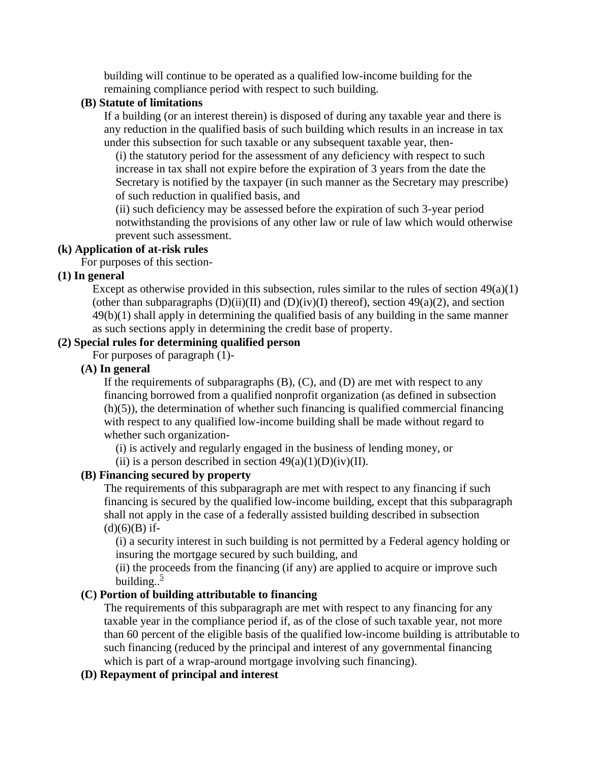building will continue to be operated as a qualified low-income building for the remaining compliance period with respect to such building.

#### **(B) Statute of limitations**

If a building (or an interest therein) is disposed of during any taxable year and there is any reduction in the qualified basis of such building which results in an increase in tax under this subsection for such taxable or any subsequent taxable year, then-

(i) the statutory period for the assessment of any deficiency with respect to such increase in tax shall not expire before the expiration of 3 years from the date the Secretary is notified by the taxpayer (in such manner as the Secretary may prescribe) of such reduction in qualified basis, and

(ii) such deficiency may be assessed before the expiration of such 3-year period notwithstanding the provisions of any other law or rule of law which would otherwise prevent such assessment.

#### **(k) Application of at-risk rules**

For purposes of this section-

## **(1) In general**

Except as otherwise provided in this subsection, rules similar to the rules of section  $49(a)(1)$ (other than subparagraphs  $(D)(ii)(II)$  and  $(D)(iv)(I)$  thereof), section 49(a)(2), and section 49(b)(1) shall apply in determining the qualified basis of any building in the same manner as such sections apply in determining the credit base of property.

## **(2) Special rules for determining qualified person**

For purposes of paragraph (1)-

# **(A) In general**

If the requirements of subparagraphs  $(B)$ ,  $(C)$ , and  $(D)$  are met with respect to any financing borrowed from a qualified nonprofit organization (as defined in subsection (h)(5)), the determination of whether such financing is qualified commercial financing with respect to any qualified low-income building shall be made without regard to whether such organization-

(i) is actively and regularly engaged in the business of lending money, or

(ii) is a person described in section  $49(a)(1)(D)(iv)(II)$ .

## **(B) Financing secured by property**

The requirements of this subparagraph are met with respect to any financing if such financing is secured by the qualified low-income building, except that this subparagraph shall not apply in the case of a federally assisted building described in subsection  $(d)(6)(B)$  if-

(i) a security interest in such building is not permitted by a Federal agency holding or insuring the mortgage secured by such building, and

(ii) the proceeds from the financing (if any) are applied to acquire or improve such building. $\frac{5}{2}$  $\frac{5}{2}$  $\frac{5}{2}$ 

# **(C) Portion of building attributable to financing**

The requirements of this subparagraph are met with respect to any financing for any taxable year in the compliance period if, as of the close of such taxable year, not more than 60 percent of the eligible basis of the qualified low-income building is attributable to such financing (reduced by the principal and interest of any governmental financing which is part of a wrap-around mortgage involving such financing).

## **(D) Repayment of principal and interest**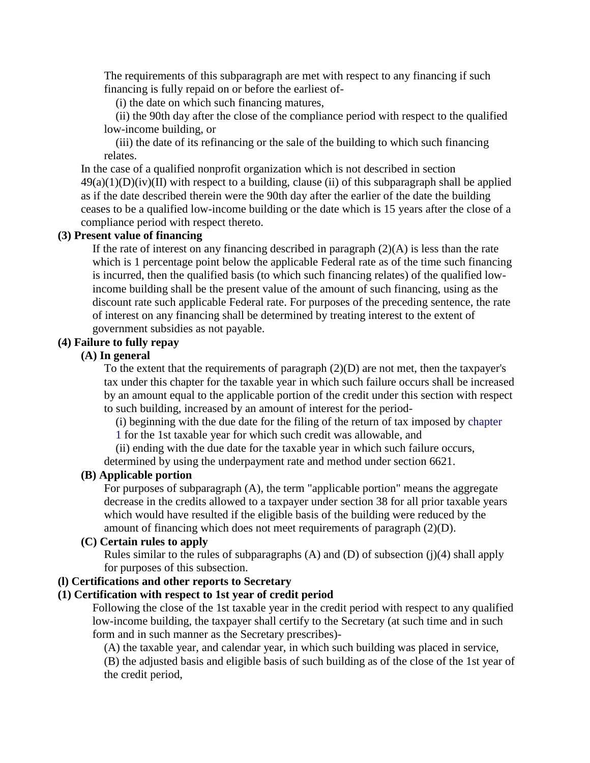The requirements of this subparagraph are met with respect to any financing if such financing is fully repaid on or before the earliest of-

(i) the date on which such financing matures,

(ii) the 90th day after the close of the compliance period with respect to the qualified low-income building, or

(iii) the date of its refinancing or the sale of the building to which such financing relates.

In the case of a qualified nonprofit organization which is not described in section  $49(a)(1)(D)(iv)(II)$  with respect to a building, clause (ii) of this subparagraph shall be applied as if the date described therein were the 90th day after the earlier of the date the building ceases to be a qualified low-income building or the date which is 15 years after the close of a compliance period with respect thereto.

# **(3) Present value of financing**

If the rate of interest on any financing described in paragraph  $(2)(A)$  is less than the rate which is 1 percentage point below the applicable Federal rate as of the time such financing is incurred, then the qualified basis (to which such financing relates) of the qualified lowincome building shall be the present value of the amount of such financing, using as the discount rate such applicable Federal rate. For purposes of the preceding sentence, the rate of interest on any financing shall be determined by treating interest to the extent of government subsidies as not payable.

#### **(4) Failure to fully repay**

#### **(A) In general**

To the extent that the requirements of paragraph  $(2)(D)$  are not met, then the taxpayer's tax under this chapter for the taxable year in which such failure occurs shall be increased by an amount equal to the applicable portion of the credit under this section with respect to such building, increased by an amount of interest for the period-

(i) beginning with the due date for the filing of the return of tax imposed by chapter 1 for the 1st taxable year for which such credit was allowable, and

(ii) ending with the due date for the taxable year in which such failure occurs,

determined by using the underpayment rate and method under section 6621.

## **(B) Applicable portion**

For purposes of subparagraph (A), the term "applicable portion" means the aggregate decrease in the credits allowed to a taxpayer under section 38 for all prior taxable years which would have resulted if the eligible basis of the building were reduced by the amount of financing which does not meet requirements of paragraph (2)(D).

#### **(C) Certain rules to apply**

Rules similar to the rules of subparagraphs  $(A)$  and  $(D)$  of subsection  $(j)(4)$  shall apply for purposes of this subsection.

### **(l) Certifications and other reports to Secretary**

#### **(1) Certification with respect to 1st year of credit period**

Following the close of the 1st taxable year in the credit period with respect to any qualified low-income building, the taxpayer shall certify to the Secretary (at such time and in such form and in such manner as the Secretary prescribes)-

(A) the taxable year, and calendar year, in which such building was placed in service,

(B) the adjusted basis and eligible basis of such building as of the close of the 1st year of the credit period,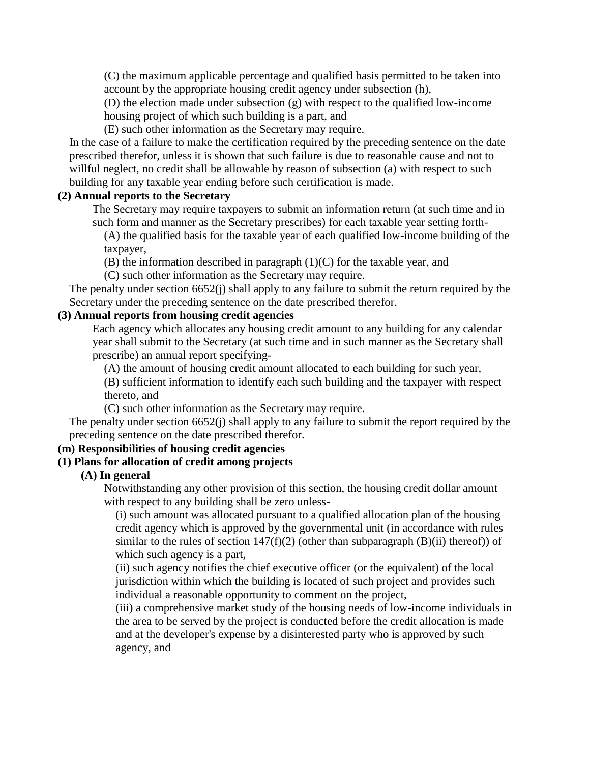(C) the maximum applicable percentage and qualified basis permitted to be taken into account by the appropriate housing credit agency under subsection (h),

(D) the election made under subsection (g) with respect to the qualified low-income housing project of which such building is a part, and

(E) such other information as the Secretary may require.

In the case of a failure to make the certification required by the preceding sentence on the date prescribed therefor, unless it is shown that such failure is due to reasonable cause and not to willful neglect, no credit shall be allowable by reason of subsection (a) with respect to such building for any taxable year ending before such certification is made.

## **(2) Annual reports to the Secretary**

The Secretary may require taxpayers to submit an information return (at such time and in such form and manner as the Secretary prescribes) for each taxable year setting forth-

(A) the qualified basis for the taxable year of each qualified low-income building of the taxpayer,

 $(B)$  the information described in paragraph  $(1)(C)$  for the taxable year, and

(C) such other information as the Secretary may require.

The penalty under section 6652(j) shall apply to any failure to submit the return required by the Secretary under the preceding sentence on the date prescribed therefor.

## **(3) Annual reports from housing credit agencies**

Each agency which allocates any housing credit amount to any building for any calendar year shall submit to the Secretary (at such time and in such manner as the Secretary shall prescribe) an annual report specifying-

(A) the amount of housing credit amount allocated to each building for such year,

(B) sufficient information to identify each such building and the taxpayer with respect thereto, and

(C) such other information as the Secretary may require.

The penalty under section 6652(j) shall apply to any failure to submit the report required by the preceding sentence on the date prescribed therefor.

## **(m) Responsibilities of housing credit agencies**

## **(1) Plans for allocation of credit among projects**

## **(A) In general**

Notwithstanding any other provision of this section, the housing credit dollar amount with respect to any building shall be zero unless-

(i) such amount was allocated pursuant to a qualified allocation plan of the housing credit agency which is approved by the governmental unit (in accordance with rules similar to the rules of section  $147(f)(2)$  (other than subparagraph (B)(ii) thereof)) of which such agency is a part,

(ii) such agency notifies the chief executive officer (or the equivalent) of the local jurisdiction within which the building is located of such project and provides such individual a reasonable opportunity to comment on the project,

(iii) a comprehensive market study of the housing needs of low-income individuals in the area to be served by the project is conducted before the credit allocation is made and at the developer's expense by a disinterested party who is approved by such agency, and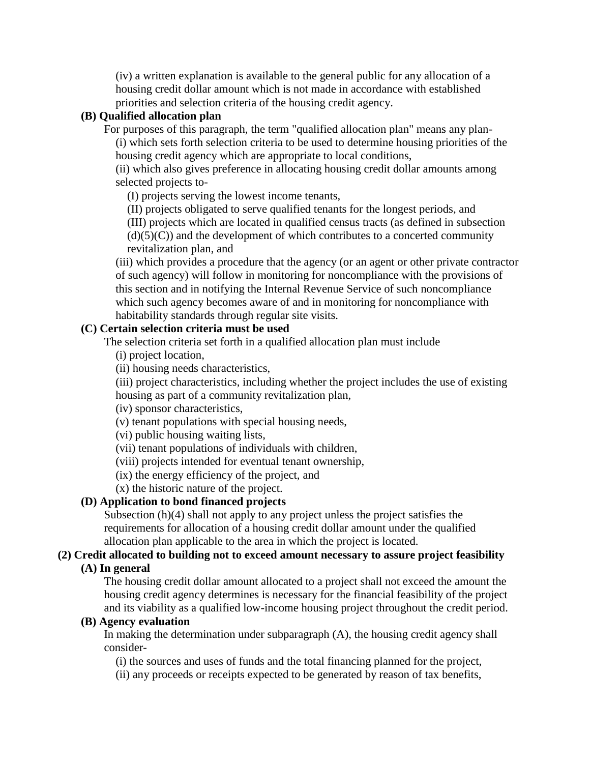(iv) a written explanation is available to the general public for any allocation of a housing credit dollar amount which is not made in accordance with established priorities and selection criteria of the housing credit agency.

## **(B) Qualified allocation plan**

For purposes of this paragraph, the term "qualified allocation plan" means any plan- (i) which sets forth selection criteria to be used to determine housing priorities of the housing credit agency which are appropriate to local conditions,

(ii) which also gives preference in allocating housing credit dollar amounts among selected projects to-

(I) projects serving the lowest income tenants,

(II) projects obligated to serve qualified tenants for the longest periods, and (III) projects which are located in qualified census tracts (as defined in subsection  $(d)(5)(C)$  and the development of which contributes to a concerted community revitalization plan, and

(iii) which provides a procedure that the agency (or an agent or other private contractor of such agency) will follow in monitoring for noncompliance with the provisions of this section and in notifying the Internal Revenue Service of such noncompliance which such agency becomes aware of and in monitoring for noncompliance with habitability standards through regular site visits.

# **(C) Certain selection criteria must be used**

The selection criteria set forth in a qualified allocation plan must include

(i) project location,

(ii) housing needs characteristics,

(iii) project characteristics, including whether the project includes the use of existing housing as part of a community revitalization plan,

(iv) sponsor characteristics,

(v) tenant populations with special housing needs,

(vi) public housing waiting lists,

- (vii) tenant populations of individuals with children,
- (viii) projects intended for eventual tenant ownership,
- (ix) the energy efficiency of the project, and

(x) the historic nature of the project.

# **(D) Application to bond financed projects**

Subsection (h)(4) shall not apply to any project unless the project satisfies the requirements for allocation of a housing credit dollar amount under the qualified allocation plan applicable to the area in which the project is located.

# **(2) Credit allocated to building not to exceed amount necessary to assure project feasibility**

## **(A) In general**

The housing credit dollar amount allocated to a project shall not exceed the amount the housing credit agency determines is necessary for the financial feasibility of the project and its viability as a qualified low-income housing project throughout the credit period.

## **(B) Agency evaluation**

In making the determination under subparagraph (A), the housing credit agency shall consider-

(i) the sources and uses of funds and the total financing planned for the project,

(ii) any proceeds or receipts expected to be generated by reason of tax benefits,